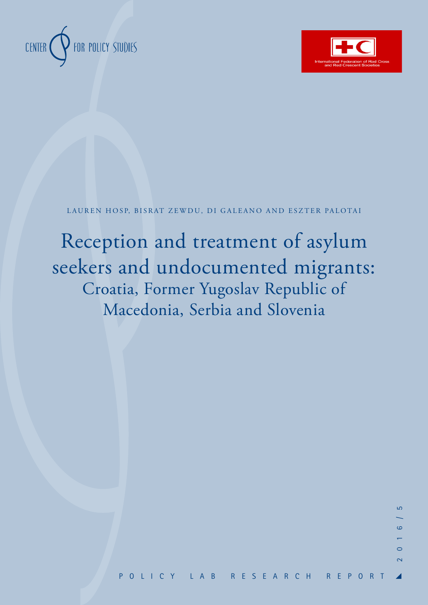



LAUREN HOSP, BISRAT ZEWDU, DI GALEANO AND ESZTER PALOTAI

Reception and treatment of asylum seekers and undocumented migrants: Croatia, Former Yugoslav Republic of Macedonia, Serbia and Slovenia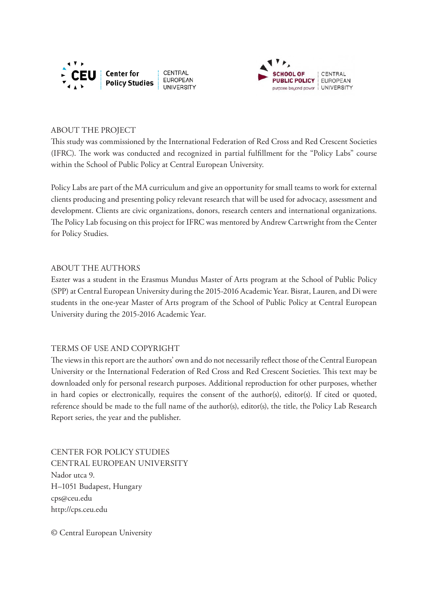



#### ABOUT THE PROJECT

This study was commissioned by the International Federation of Red Cross and Red Crescent Societies (IFRC). The work was conducted and recognized in partial fulfillment for the "Policy Labs" course within the School of Public Policy at Central European University.

Policy Labs are part of the MA curriculum and give an opportunity for small teams to work for external clients producing and presenting policy relevant research that will be used for advocacy, assessment and development. Clients are civic organizations, donors, research centers and international organizations. The Policy Lab focusing on this project for IFRC was mentored by Andrew Cartwright from the Center for Policy Studies.

#### ABOUT THE AUTHORS

Eszter was a student in the Erasmus Mundus Master of Arts program at the School of Public Policy (SPP) at Central European University during the 2015-2016 Academic Year. Bisrat, Lauren, and Di were students in the one-year Master of Arts program of the School of Public Policy at Central European University during the 2015-2016 Academic Year.

#### TERMS OF USE AND COPYRIGHT

The views in this report are the authors' own and do not necessarily reflect those of the Central European University or the International Federation of Red Cross and Red Crescent Societies. This text may be downloaded only for personal research purposes. Additional reproduction for other purposes, whether in hard copies or electronically, requires the consent of the author(s), editor(s). If cited or quoted, reference should be made to the full name of the author(s), editor(s), the title, the Policy Lab Research Report series, the year and the publisher.

CENTER FOR POLICY STUDIES CENTRAL EUROPEAN UNIVERSITY Nador utca 9. H–1051 Budapest, Hungary cps@ceu.edu http://cps.ceu.edu

© Central European University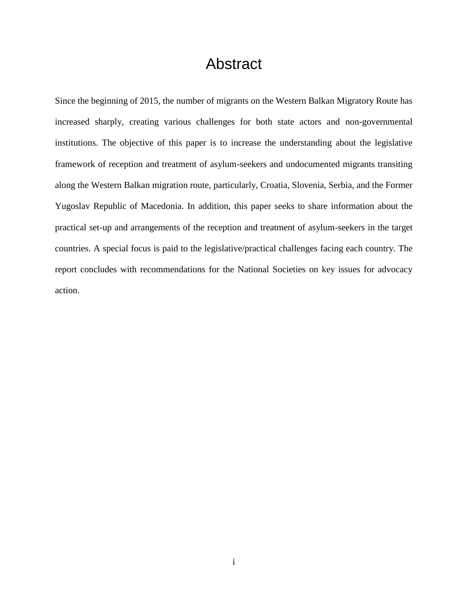## Abstract

<span id="page-2-0"></span>Since the beginning of 2015, the number of migrants on the Western Balkan Migratory Route has increased sharply, creating various challenges for both state actors and non-governmental institutions. The objective of this paper is to increase the understanding about the legislative framework of reception and treatment of asylum-seekers and undocumented migrants transiting along the Western Balkan migration route, particularly, Croatia, Slovenia, Serbia, and the Former Yugoslav Republic of Macedonia. In addition, this paper seeks to share information about the practical set-up and arrangements of the reception and treatment of asylum-seekers in the target countries. A special focus is paid to the legislative/practical challenges facing each country. The report concludes with recommendations for the National Societies on key issues for advocacy action.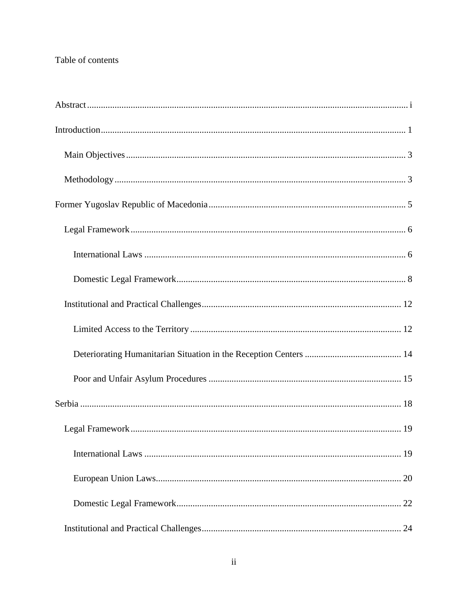### Table of contents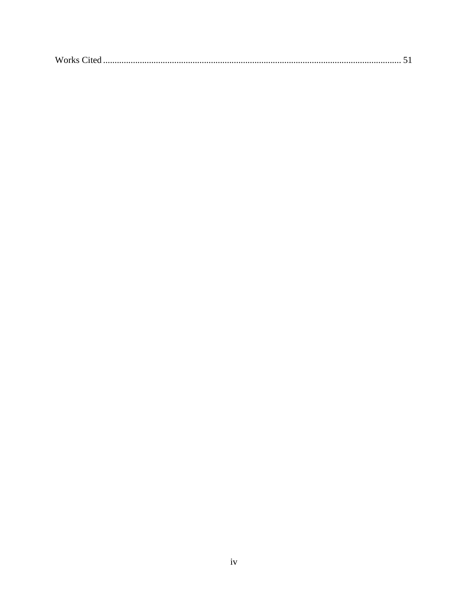| $\mathbf{X} \mathbf{X}$<br><b>W</b> orks |
|------------------------------------------|
|------------------------------------------|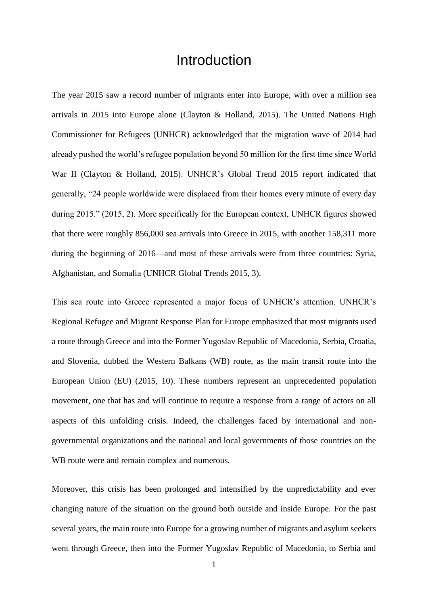### **Introduction**

<span id="page-6-0"></span>The year 2015 saw a record number of migrants enter into Europe, with over a million sea arrivals in 2015 into Europe alone (Clayton & Holland, 2015). The United Nations High Commissioner for Refugees (UNHCR) acknowledged that the migration wave of 2014 had already pushed the world's refugee population beyond 50 million for the first time since World War II (Clayton & Holland, 2015). UNHCR's Global Trend 2015 report indicated that generally, "24 people worldwide were displaced from their homes every minute of every day during 2015." (2015, 2). More specifically for the European context, UNHCR figures showed that there were roughly 856,000 sea arrivals into Greece in 2015, with another 158,311 more during the beginning of 2016—and most of these arrivals were from three countries: Syria, Afghanistan, and Somalia (UNHCR Global Trends 2015, 3).

This sea route into Greece represented a major focus of UNHCR's attention. UNHCR's Regional Refugee and Migrant Response Plan for Europe emphasized that most migrants used a route through Greece and into the Former Yugoslav Republic of Macedonia, Serbia, Croatia, and Slovenia, dubbed the Western Balkans (WB) route, as the main transit route into the European Union (EU) (2015, 10). These numbers represent an unprecedented population movement, one that has and will continue to require a response from a range of actors on all aspects of this unfolding crisis. Indeed, the challenges faced by international and nongovernmental organizations and the national and local governments of those countries on the WB route were and remain complex and numerous.

Moreover, this crisis has been prolonged and intensified by the unpredictability and ever changing nature of the situation on the ground both outside and inside Europe. For the past several years, the main route into Europe for a growing number of migrants and asylum seekers went through Greece, then into the Former Yugoslav Republic of Macedonia, to Serbia and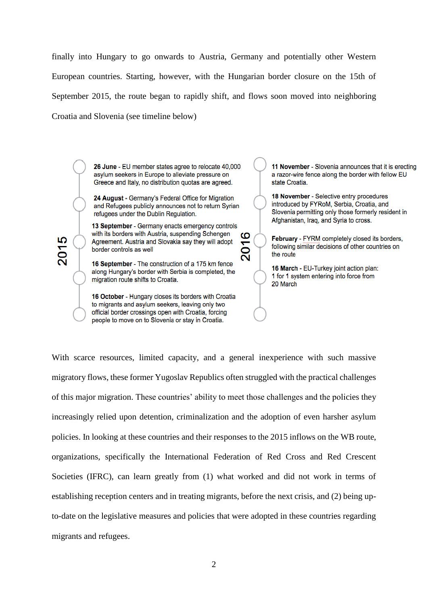finally into Hungary to go onwards to Austria, Germany and potentially other Western European countries. Starting, however, with the Hungarian border closure on the 15th of September 2015, the route began to rapidly shift, and flows soon moved into neighboring Croatia and Slovenia (see timeline below)

> 26 June - EU member states agree to relocate 40,000 asylum seekers in Europe to alleviate pressure on Greece and Italy, no distribution quotas are agreed.

24 August - Germany's Federal Office for Migration and Refugees publicly announces not to return Syrian refugees under the Dublin Regulation.

13 September - Germany enacts emergency controls with its borders with Austria, suspending Schengen ဖ Agreement. Austria and Slovakia say they will adopt 5 border controls as well

2015

16 September - The construction of a 175 km fence along Hungary's border with Serbia is completed, the migration route shifts to Croatia.

16 October - Hungary closes its borders with Croatia to migrants and asylum seekers, leaving only two official border crossings open with Croatia, forcing people to move on to Slovenia or stay in Croatia.

11 November - Slovenia announces that it is erecting a razor-wire fence along the border with fellow EU state Croatia.

18 November - Selective entry procedures introduced by FYRoM. Serbia, Croatia, and Slovenia permitting only those formerly resident in Afghanistan, Irag, and Syria to cross.

February - FYRM completely closed its borders. following similar decisions of other countries on the route

16 March - EU-Turkey joint action plan: 1 for 1 system entering into force from 20 March

With scarce resources, limited capacity, and a general inexperience with such massive migratory flows, these former Yugoslav Republics often struggled with the practical challenges of this major migration. These countries' ability to meet those challenges and the policies they increasingly relied upon detention, criminalization and the adoption of even harsher asylum policies. In looking at these countries and their responses to the 2015 inflows on the WB route, organizations, specifically the International Federation of Red Cross and Red Crescent Societies (IFRC), can learn greatly from (1) what worked and did not work in terms of establishing reception centers and in treating migrants, before the next crisis, and (2) being upto-date on the legislative measures and policies that were adopted in these countries regarding migrants and refugees.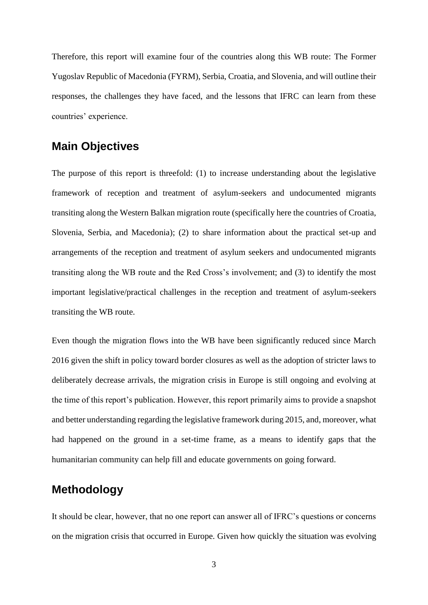Therefore, this report will examine four of the countries along this WB route: The Former Yugoslav Republic of Macedonia (FYRM), Serbia, Croatia, and Slovenia, and will outline their responses, the challenges they have faced, and the lessons that IFRC can learn from these countries' experience.

### <span id="page-8-0"></span>**Main Objectives**

The purpose of this report is threefold: (1) to increase understanding about the legislative framework of reception and treatment of asylum-seekers and undocumented migrants transiting along the Western Balkan migration route (specifically here the countries of Croatia, Slovenia, Serbia, and Macedonia); (2) to share information about the practical set-up and arrangements of the reception and treatment of asylum seekers and undocumented migrants transiting along the WB route and the Red Cross's involvement; and (3) to identify the most important legislative/practical challenges in the reception and treatment of asylum-seekers transiting the WB route.

Even though the migration flows into the WB have been significantly reduced since March 2016 given the shift in policy toward border closures as well as the adoption of stricter laws to deliberately decrease arrivals, the migration crisis in Europe is still ongoing and evolving at the time of this report's publication. However, this report primarily aims to provide a snapshot and better understanding regarding the legislative framework during 2015, and, moreover, what had happened on the ground in a set-time frame, as a means to identify gaps that the humanitarian community can help fill and educate governments on going forward.

### <span id="page-8-1"></span>**Methodology**

It should be clear, however, that no one report can answer all of IFRC's questions or concerns on the migration crisis that occurred in Europe. Given how quickly the situation was evolving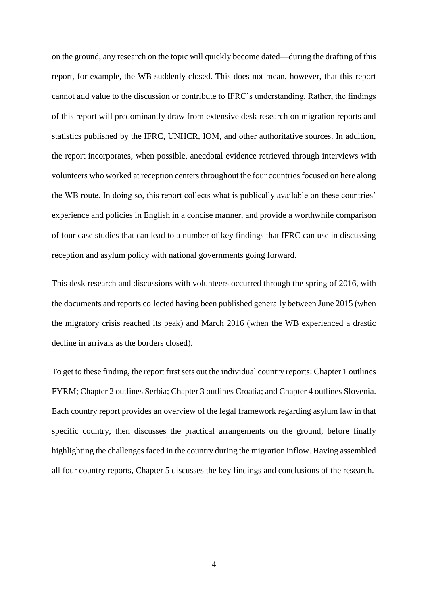on the ground, any research on the topic will quickly become dated—during the drafting of this report, for example, the WB suddenly closed. This does not mean, however, that this report cannot add value to the discussion or contribute to IFRC's understanding. Rather, the findings of this report will predominantly draw from extensive desk research on migration reports and statistics published by the IFRC, UNHCR, IOM, and other authoritative sources. In addition, the report incorporates, when possible, anecdotal evidence retrieved through interviews with volunteers who worked at reception centers throughout the four countries focused on here along the WB route. In doing so, this report collects what is publically available on these countries' experience and policies in English in a concise manner, and provide a worthwhile comparison of four case studies that can lead to a number of key findings that IFRC can use in discussing reception and asylum policy with national governments going forward.

This desk research and discussions with volunteers occurred through the spring of 2016, with the documents and reports collected having been published generally between June 2015 (when the migratory crisis reached its peak) and March 2016 (when the WB experienced a drastic decline in arrivals as the borders closed).

To get to these finding, the report first sets out the individual country reports: Chapter 1 outlines FYRM; Chapter 2 outlines Serbia; Chapter 3 outlines Croatia; and Chapter 4 outlines Slovenia. Each country report provides an overview of the legal framework regarding asylum law in that specific country, then discusses the practical arrangements on the ground, before finally highlighting the challenges faced in the country during the migration inflow. Having assembled all four country reports, Chapter 5 discusses the key findings and conclusions of the research.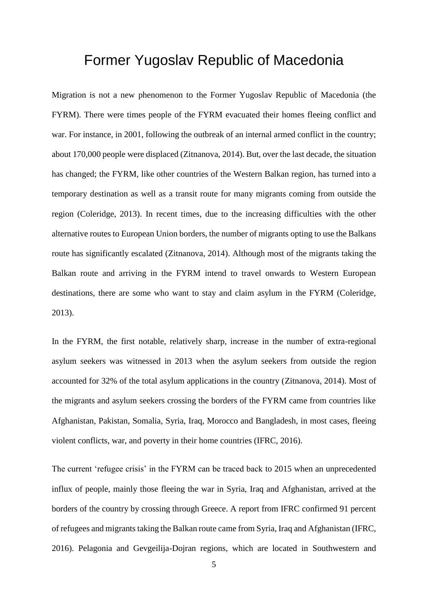## <span id="page-10-0"></span>Former Yugoslav Republic of Macedonia

Migration is not a new phenomenon to the Former Yugoslav Republic of Macedonia (the FYRM). There were times people of the FYRM evacuated their homes fleeing conflict and war. For instance, in 2001, following the outbreak of an internal armed conflict in the country; about 170,000 people were displaced (Zitnanova, 2014). But, over the last decade, the situation has changed; the FYRM, like other countries of the Western Balkan region, has turned into a temporary destination as well as a transit route for many migrants coming from outside the region (Coleridge, 2013). In recent times, due to the increasing difficulties with the other alternative routes to European Union borders, the number of migrants opting to use the Balkans route has significantly escalated (Zitnanova, 2014). Although most of the migrants taking the Balkan route and arriving in the FYRM intend to travel onwards to Western European destinations, there are some who want to stay and claim asylum in the FYRM (Coleridge, 2013).

In the FYRM, the first notable, relatively sharp, increase in the number of extra-regional asylum seekers was witnessed in 2013 when the asylum seekers from outside the region accounted for 32% of the total asylum applications in the country (Zitnanova, 2014). Most of the migrants and asylum seekers crossing the borders of the FYRM came from countries like Afghanistan, Pakistan, Somalia, Syria, Iraq, Morocco and Bangladesh, in most cases, fleeing violent conflicts, war, and poverty in their home countries (IFRC, 2016).

The current 'refugee crisis' in the FYRM can be traced back to 2015 when an unprecedented influx of people, mainly those fleeing the war in Syria, Iraq and Afghanistan, arrived at the borders of the country by crossing through Greece. A report from IFRC confirmed 91 percent of refugees and migrants taking the Balkan route came from Syria, Iraq and Afghanistan (IFRC, 2016). Pelagonia and Gevgeilija-Dojran regions, which are located in Southwestern and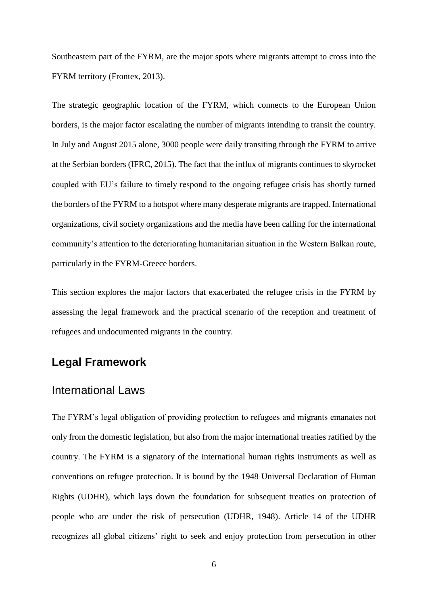Southeastern part of the FYRM, are the major spots where migrants attempt to cross into the FYRM territory (Frontex, 2013).

The strategic geographic location of the FYRM, which connects to the European Union borders, is the major factor escalating the number of migrants intending to transit the country. In July and August 2015 alone, 3000 people were daily transiting through the FYRM to arrive at the Serbian borders (IFRC, 2015). The fact that the influx of migrants continues to skyrocket coupled with EU's failure to timely respond to the ongoing refugee crisis has shortly turned the borders of the FYRM to a hotspot where many desperate migrants are trapped. International organizations, civil society organizations and the media have been calling for the international community's attention to the deteriorating humanitarian situation in the Western Balkan route, particularly in the FYRM-Greece borders.

<span id="page-11-0"></span>This section explores the major factors that exacerbated the refugee crisis in the FYRM by assessing the legal framework and the practical scenario of the reception and treatment of refugees and undocumented migrants in the country.

### <span id="page-11-1"></span>**Legal Framework**

### International Laws

The FYRM's legal obligation of providing protection to refugees and migrants emanates not only from the domestic legislation, but also from the major international treaties ratified by the country. The FYRM is a signatory of the international human rights instruments as well as conventions on refugee protection. It is bound by the 1948 Universal Declaration of Human Rights (UDHR), which lays down the foundation for subsequent treaties on protection of people who are under the risk of persecution (UDHR, 1948). Article 14 of the UDHR recognizes all global citizens' right to seek and enjoy protection from persecution in other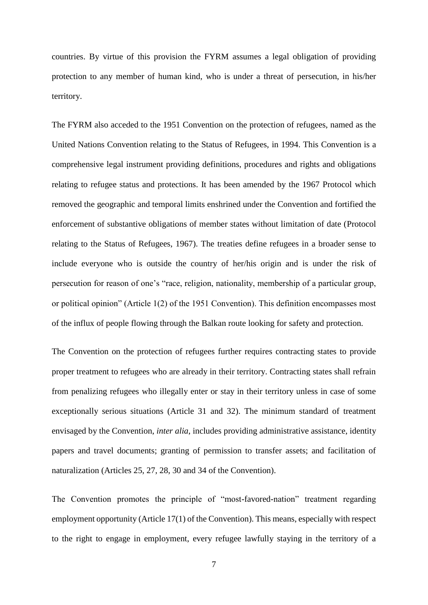countries. By virtue of this provision the FYRM assumes a legal obligation of providing protection to any member of human kind, who is under a threat of persecution, in his/her territory.

The FYRM also acceded to the 1951 Convention on the protection of refugees, named as the United Nations Convention relating to the Status of Refugees, in 1994. This Convention is a comprehensive legal instrument providing definitions, procedures and rights and obligations relating to refugee status and protections. It has been amended by the 1967 Protocol which removed the geographic and temporal limits enshrined under the Convention and fortified the enforcement of substantive obligations of member states without limitation of date (Protocol relating to the Status of Refugees, 1967). The treaties define refugees in a broader sense to include everyone who is outside the country of her/his origin and is under the risk of persecution for reason of one's "race, religion, nationality, membership of a particular group, or political opinion" (Article 1(2) of the 1951 Convention). This definition encompasses most of the influx of people flowing through the Balkan route looking for safety and protection.

The Convention on the protection of refugees further requires contracting states to provide proper treatment to refugees who are already in their territory. Contracting states shall refrain from penalizing refugees who illegally enter or stay in their territory unless in case of some exceptionally serious situations (Article 31 and 32). The minimum standard of treatment envisaged by the Convention, *inter alia*, includes providing administrative assistance, identity papers and travel documents; granting of permission to transfer assets; and facilitation of naturalization (Articles 25, 27, 28, 30 and 34 of the Convention).

The Convention promotes the principle of "most-favored-nation" treatment regarding employment opportunity (Article 17(1) of the Convention). This means, especially with respect to the right to engage in employment, every refugee lawfully staying in the territory of a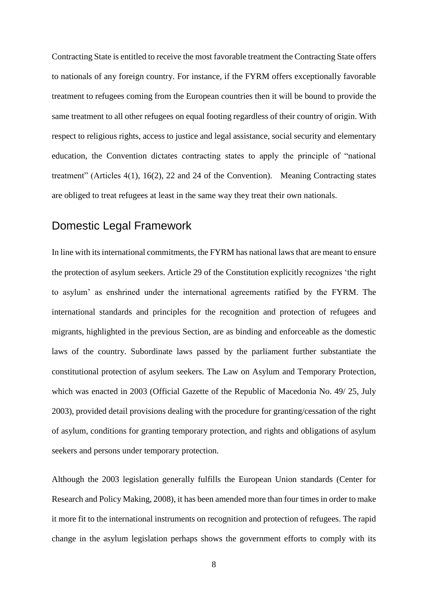Contracting State is entitled to receive the most favorable treatment the Contracting State offers to nationals of any foreign country. For instance, if the FYRM offers exceptionally favorable treatment to refugees coming from the European countries then it will be bound to provide the same treatment to all other refugees on equal footing regardless of their country of origin. With respect to religious rights, access to justice and legal assistance, social security and elementary education, the Convention dictates contracting states to apply the principle of "national treatment" (Articles 4(1), 16(2), 22 and 24 of the Convention). Meaning Contracting states are obliged to treat refugees at least in the same way they treat their own nationals.

### <span id="page-13-0"></span>Domestic Legal Framework

In line with its international commitments, the FYRM has national laws that are meant to ensure the protection of asylum seekers. Article 29 of the Constitution explicitly recognizes 'the right to asylum' as enshrined under the international agreements ratified by the FYRM. The international standards and principles for the recognition and protection of refugees and migrants, highlighted in the previous Section, are as binding and enforceable as the domestic laws of the country. Subordinate laws passed by the parliament further substantiate the constitutional protection of asylum seekers. The Law on Asylum and Temporary Protection, which was enacted in 2003 (Official Gazette of the Republic of Macedonia No. 49/ 25, July 2003), provided detail provisions dealing with the procedure for granting/cessation of the right of asylum, conditions for granting temporary protection, and rights and obligations of asylum seekers and persons under temporary protection.

Although the 2003 legislation generally fulfills the European Union standards (Center for Research and Policy Making, 2008), it has been amended more than four times in order to make it more fit to the international instruments on recognition and protection of refugees. The rapid change in the asylum legislation perhaps shows the government efforts to comply with its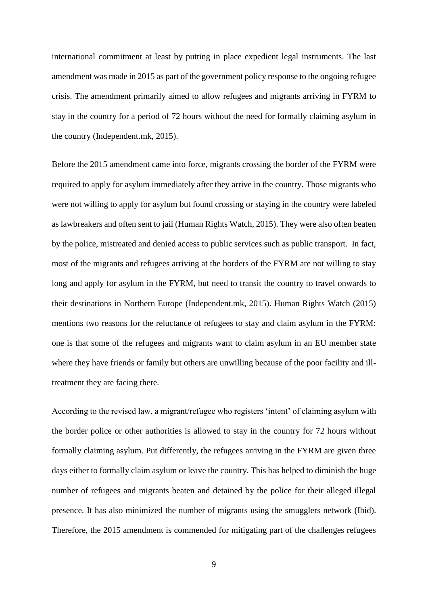international commitment at least by putting in place expedient legal instruments. The last amendment was made in 2015 as part of the government policy response to the ongoing refugee crisis. The amendment primarily aimed to allow refugees and migrants arriving in FYRM to stay in the country for a period of 72 hours without the need for formally claiming asylum in the country (Independent.mk, 2015).

Before the 2015 amendment came into force, migrants crossing the border of the FYRM were required to apply for asylum immediately after they arrive in the country. Those migrants who were not willing to apply for asylum but found crossing or staying in the country were labeled as lawbreakers and often sent to jail (Human Rights Watch, 2015). They were also often beaten by the police, mistreated and denied access to public services such as public transport. In fact, most of the migrants and refugees arriving at the borders of the FYRM are not willing to stay long and apply for asylum in the FYRM, but need to transit the country to travel onwards to their destinations in Northern Europe (Independent.mk, 2015). Human Rights Watch (2015) mentions two reasons for the reluctance of refugees to stay and claim asylum in the FYRM: one is that some of the refugees and migrants want to claim asylum in an EU member state where they have friends or family but others are unwilling because of the poor facility and illtreatment they are facing there.

According to the revised law, a migrant/refugee who registers 'intent' of claiming asylum with the border police or other authorities is allowed to stay in the country for 72 hours without formally claiming asylum. Put differently, the refugees arriving in the FYRM are given three days either to formally claim asylum or leave the country. This has helped to diminish the huge number of refugees and migrants beaten and detained by the police for their alleged illegal presence. It has also minimized the number of migrants using the smugglers network (Ibid). Therefore, the 2015 amendment is commended for mitigating part of the challenges refugees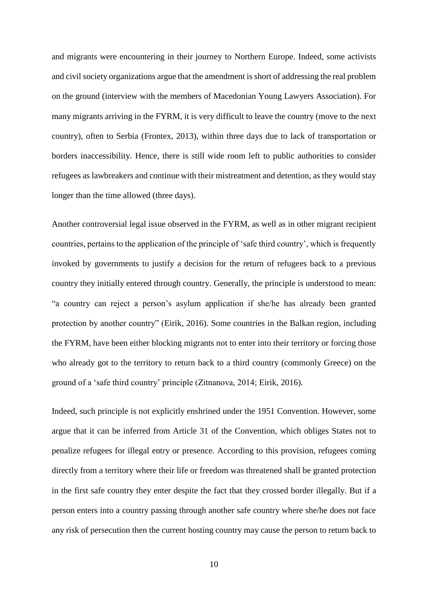and migrants were encountering in their journey to Northern Europe. Indeed, some activists and civil society organizations argue that the amendment is short of addressing the real problem on the ground (interview with the members of Macedonian Young Lawyers Association). For many migrants arriving in the FYRM, it is very difficult to leave the country (move to the next country), often to Serbia (Frontex, 2013), within three days due to lack of transportation or borders inaccessibility. Hence, there is still wide room left to public authorities to consider refugees as lawbreakers and continue with their mistreatment and detention, as they would stay longer than the time allowed (three days).

Another controversial legal issue observed in the FYRM, as well as in other migrant recipient countries, pertains to the application of the principle of 'safe third country', which is frequently invoked by governments to justify a decision for the return of refugees back to a previous country they initially entered through country. Generally, the principle is understood to mean: "a country can reject a person's asylum application if she/he has already been granted protection by another country" (Eirik, 2016). Some countries in the Balkan region, including the FYRM, have been either blocking migrants not to enter into their territory or forcing those who already got to the territory to return back to a third country (commonly Greece) on the ground of a 'safe third country' principle (Zitnanova, 2014; Eirik, 2016).

Indeed, such principle is not explicitly enshrined under the 1951 Convention. However, some argue that it can be inferred from Article 31 of the Convention, which obliges States not to penalize refugees for illegal entry or presence. According to this provision, refugees coming directly from a territory where their life or freedom was threatened shall be granted protection in the first safe country they enter despite the fact that they crossed border illegally. But if a person enters into a country passing through another safe country where she/he does not face any risk of persecution then the current hosting country may cause the person to return back to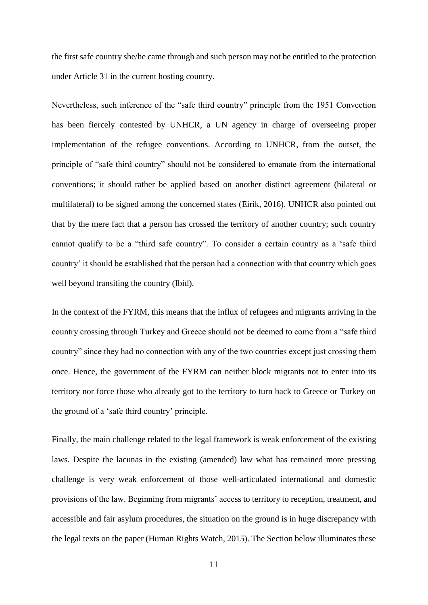the first safe country she/he came through and such person may not be entitled to the protection under Article 31 in the current hosting country.

Nevertheless, such inference of the "safe third country" principle from the 1951 Convection has been fiercely contested by UNHCR, a UN agency in charge of overseeing proper implementation of the refugee conventions. According to UNHCR, from the outset, the principle of "safe third country" should not be considered to emanate from the international conventions; it should rather be applied based on another distinct agreement (bilateral or multilateral) to be signed among the concerned states (Eirik*,* 2016). UNHCR also pointed out that by the mere fact that a person has crossed the territory of another country; such country cannot qualify to be a "third safe country". To consider a certain country as a 'safe third country' it should be established that the person had a connection with that country which goes well beyond transiting the country (Ibid).

In the context of the FYRM, this means that the influx of refugees and migrants arriving in the country crossing through Turkey and Greece should not be deemed to come from a "safe third country" since they had no connection with any of the two countries except just crossing them once. Hence, the government of the FYRM can neither block migrants not to enter into its territory nor force those who already got to the territory to turn back to Greece or Turkey on the ground of a 'safe third country' principle.

Finally, the main challenge related to the legal framework is weak enforcement of the existing laws. Despite the lacunas in the existing (amended) law what has remained more pressing challenge is very weak enforcement of those well-articulated international and domestic provisions of the law. Beginning from migrants' access to territory to reception, treatment, and accessible and fair asylum procedures, the situation on the ground is in huge discrepancy with the legal texts on the paper (Human Rights Watch, 2015). The Section below illuminates these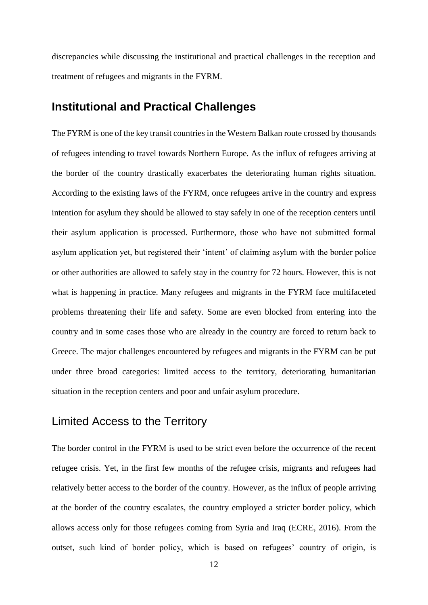<span id="page-17-0"></span>discrepancies while discussing the institutional and practical challenges in the reception and treatment of refugees and migrants in the FYRM.

### **Institutional and Practical Challenges**

The FYRM is one of the key transit countries in the Western Balkan route crossed by thousands of refugees intending to travel towards Northern Europe. As the influx of refugees arriving at the border of the country drastically exacerbates the deteriorating human rights situation. According to the existing laws of the FYRM, once refugees arrive in the country and express intention for asylum they should be allowed to stay safely in one of the reception centers until their asylum application is processed. Furthermore, those who have not submitted formal asylum application yet, but registered their 'intent' of claiming asylum with the border police or other authorities are allowed to safely stay in the country for 72 hours. However, this is not what is happening in practice. Many refugees and migrants in the FYRM face multifaceted problems threatening their life and safety. Some are even blocked from entering into the country and in some cases those who are already in the country are forced to return back to Greece. The major challenges encountered by refugees and migrants in the FYRM can be put under three broad categories: limited access to the territory, deteriorating humanitarian situation in the reception centers and poor and unfair asylum procedure.

### <span id="page-17-1"></span>Limited Access to the Territory

The border control in the FYRM is used to be strict even before the occurrence of the recent refugee crisis. Yet, in the first few months of the refugee crisis, migrants and refugees had relatively better access to the border of the country. However, as the influx of people arriving at the border of the country escalates, the country employed a stricter border policy, which allows access only for those refugees coming from Syria and Iraq (ECRE, 2016). From the outset, such kind of border policy, which is based on refugees' country of origin, is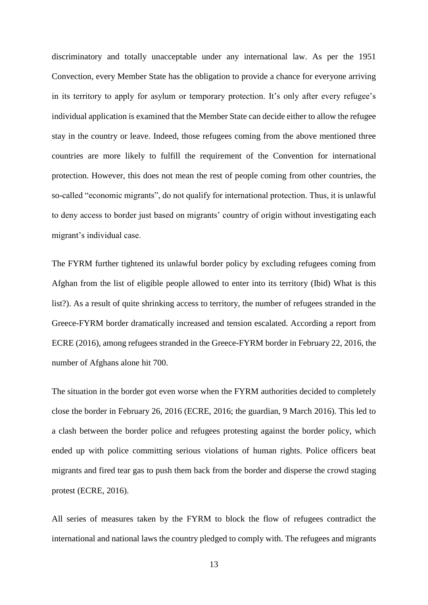discriminatory and totally unacceptable under any international law. As per the 1951 Convection, every Member State has the obligation to provide a chance for everyone arriving in its territory to apply for asylum or temporary protection. It's only after every refugee's individual application is examined that the Member State can decide either to allow the refugee stay in the country or leave. Indeed, those refugees coming from the above mentioned three countries are more likely to fulfill the requirement of the Convention for international protection. However, this does not mean the rest of people coming from other countries, the so-called "economic migrants", do not qualify for international protection. Thus, it is unlawful to deny access to border just based on migrants' country of origin without investigating each migrant's individual case.

The FYRM further tightened its unlawful border policy by excluding refugees coming from Afghan from the list of eligible people allowed to enter into its territory (Ibid) What is this list?). As a result of quite shrinking access to territory, the number of refugees stranded in the Greece-FYRM border dramatically increased and tension escalated. According a report from ECRE (2016), among refugees stranded in the Greece-FYRM border in February 22, 2016, the number of Afghans alone hit 700.

The situation in the border got even worse when the FYRM authorities decided to completely close the border in February 26, 2016 (ECRE, 2016; the guardian, 9 March 2016). This led to a clash between the border police and refugees protesting against the border policy, which ended up with police committing serious violations of human rights. Police officers beat migrants and fired tear gas to push them back from the border and disperse the crowd staging protest (ECRE, 2016).

All series of measures taken by the FYRM to block the flow of refugees contradict the international and national laws the country pledged to comply with. The refugees and migrants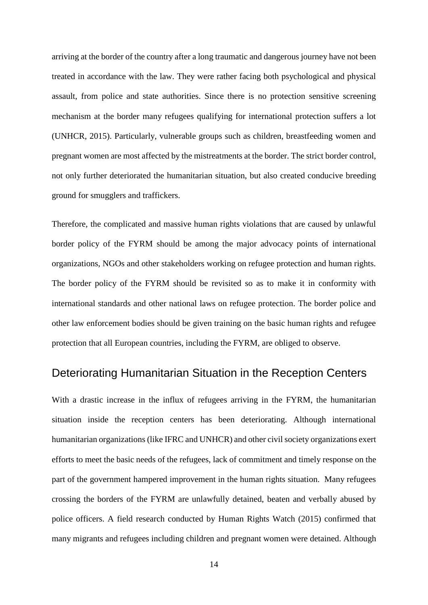arriving at the border of the country after a long traumatic and dangerous journey have not been treated in accordance with the law. They were rather facing both psychological and physical assault, from police and state authorities. Since there is no protection sensitive screening mechanism at the border many refugees qualifying for international protection suffers a lot (UNHCR, 2015). Particularly, vulnerable groups such as children, breastfeeding women and pregnant women are most affected by the mistreatments at the border. The strict border control, not only further deteriorated the humanitarian situation, but also created conducive breeding ground for smugglers and traffickers.

Therefore, the complicated and massive human rights violations that are caused by unlawful border policy of the FYRM should be among the major advocacy points of international organizations, NGOs and other stakeholders working on refugee protection and human rights. The border policy of the FYRM should be revisited so as to make it in conformity with international standards and other national laws on refugee protection. The border police and other law enforcement bodies should be given training on the basic human rights and refugee protection that all European countries, including the FYRM, are obliged to observe.

### <span id="page-19-0"></span>Deteriorating Humanitarian Situation in the Reception Centers

With a drastic increase in the influx of refugees arriving in the FYRM, the humanitarian situation inside the reception centers has been deteriorating. Although international humanitarian organizations (like IFRC and UNHCR) and other civil society organizations exert efforts to meet the basic needs of the refugees, lack of commitment and timely response on the part of the government hampered improvement in the human rights situation. Many refugees crossing the borders of the FYRM are unlawfully detained, beaten and verbally abused by police officers. A field research conducted by Human Rights Watch (2015) confirmed that many migrants and refugees including children and pregnant women were detained. Although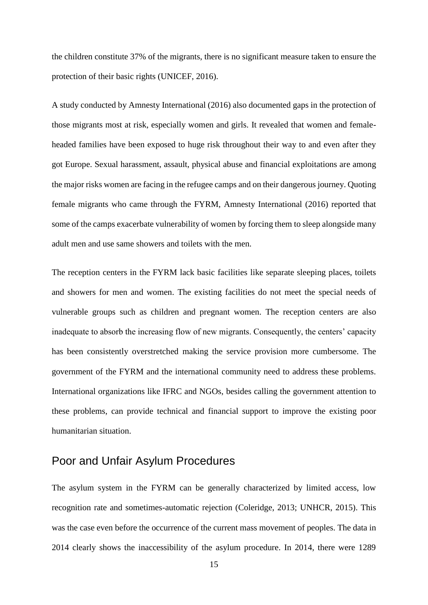the children constitute 37% of the migrants, there is no significant measure taken to ensure the protection of their basic rights (UNICEF, 2016).

A study conducted by Amnesty International (2016) also documented gaps in the protection of those migrants most at risk, especially women and girls. It revealed that women and femaleheaded families have been exposed to huge risk throughout their way to and even after they got Europe. Sexual harassment, assault, physical abuse and financial exploitations are among the major risks women are facing in the refugee camps and on their dangerous journey. Quoting female migrants who came through the FYRM, Amnesty International (2016) reported that some of the camps exacerbate vulnerability of women by forcing them to sleep alongside many adult men and use same showers and toilets with the men.

The reception centers in the FYRM lack basic facilities like separate sleeping places, toilets and showers for men and women. The existing facilities do not meet the special needs of vulnerable groups such as children and pregnant women. The reception centers are also inadequate to absorb the increasing flow of new migrants. Consequently, the centers' capacity has been consistently overstretched making the service provision more cumbersome. The government of the FYRM and the international community need to address these problems. International organizations like IFRC and NGOs, besides calling the government attention to these problems, can provide technical and financial support to improve the existing poor humanitarian situation.

### <span id="page-20-0"></span>Poor and Unfair Asylum Procedures

The asylum system in the FYRM can be generally characterized by limited access, low recognition rate and sometimes-automatic rejection (Coleridge, 2013; UNHCR, 2015). This was the case even before the occurrence of the current mass movement of peoples. The data in 2014 clearly shows the inaccessibility of the asylum procedure. In 2014, there were 1289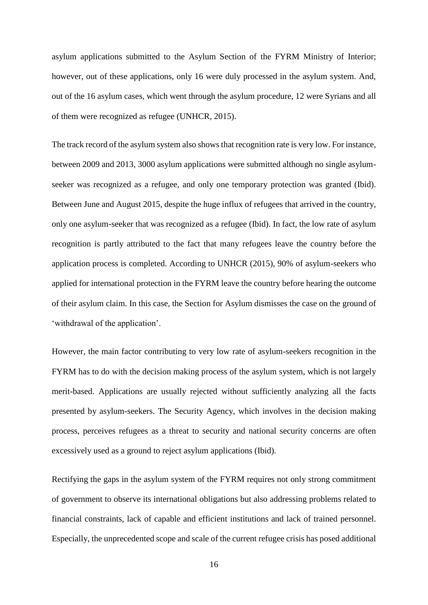asylum applications submitted to the Asylum Section of the FYRM Ministry of Interior; however, out of these applications, only 16 were duly processed in the asylum system. And, out of the 16 asylum cases, which went through the asylum procedure, 12 were Syrians and all of them were recognized as refugee (UNHCR, 2015).

The track record of the asylum system also shows that recognition rate is very low. For instance, between 2009 and 2013, 3000 asylum applications were submitted although no single asylumseeker was recognized as a refugee, and only one temporary protection was granted (Ibid). Between June and August 2015, despite the huge influx of refugees that arrived in the country, only one asylum-seeker that was recognized as a refugee (Ibid). In fact, the low rate of asylum recognition is partly attributed to the fact that many refugees leave the country before the application process is completed. According to UNHCR (2015), 90% of asylum-seekers who applied for international protection in the FYRM leave the country before hearing the outcome of their asylum claim. In this case, the Section for Asylum dismisses the case on the ground of 'withdrawal of the application'.

However, the main factor contributing to very low rate of asylum-seekers recognition in the FYRM has to do with the decision making process of the asylum system, which is not largely merit-based. Applications are usually rejected without sufficiently analyzing all the facts presented by asylum-seekers. The Security Agency, which involves in the decision making process, perceives refugees as a threat to security and national security concerns are often excessively used as a ground to reject asylum applications (Ibid).

Rectifying the gaps in the asylum system of the FYRM requires not only strong commitment of government to observe its international obligations but also addressing problems related to financial constraints, lack of capable and efficient institutions and lack of trained personnel. Especially, the unprecedented scope and scale of the current refugee crisis has posed additional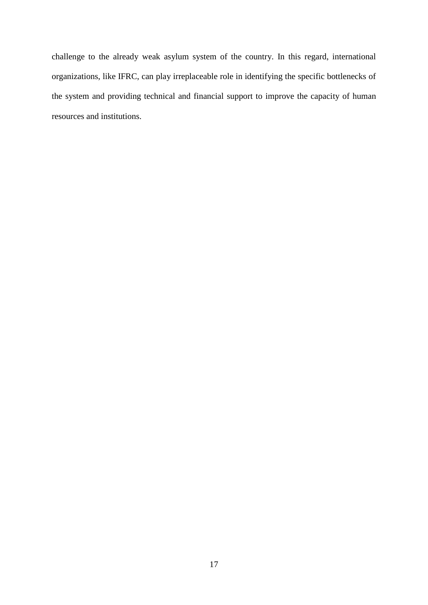challenge to the already weak asylum system of the country. In this regard, international organizations, like IFRC, can play irreplaceable role in identifying the specific bottlenecks of the system and providing technical and financial support to improve the capacity of human resources and institutions.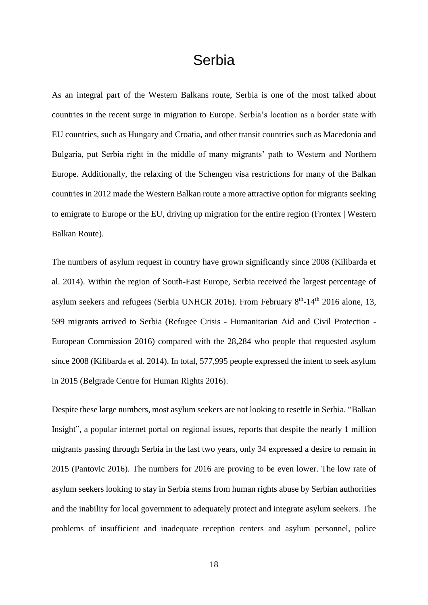## Serbia

<span id="page-23-0"></span>As an integral part of the Western Balkans route, Serbia is one of the most talked about countries in the recent surge in migration to Europe. Serbia's location as a border state with EU countries, such as Hungary and Croatia, and other transit countries such as Macedonia and Bulgaria, put Serbia right in the middle of many migrants' path to Western and Northern Europe. Additionally, the relaxing of the Schengen visa restrictions for many of the Balkan countries in 2012 made the Western Balkan route a more attractive option for migrants seeking to emigrate to Europe or the EU, driving up migration for the entire region (Frontex | Western Balkan Route).

The numbers of asylum request in country have grown significantly since 2008 (Kilibarda et al. 2014). Within the region of South-East Europe, Serbia received the largest percentage of asylum seekers and refugees (Serbia UNHCR 2016). From February  $8<sup>th</sup>$ -14<sup>th</sup> 2016 alone, 13, 599 migrants arrived to Serbia (Refugee Crisis - Humanitarian Aid and Civil Protection - European Commission 2016) compared with the 28,284 who people that requested asylum since 2008 (Kilibarda et al. 2014). In total, 577,995 people expressed the intent to seek asylum in 2015 (Belgrade Centre for Human Rights 2016).

Despite these large numbers, most asylum seekers are not looking to resettle in Serbia. "Balkan Insight"*,* a popular internet portal on regional issues, reports that despite the nearly 1 million migrants passing through Serbia in the last two years, only 34 expressed a desire to remain in 2015 (Pantovic 2016). The numbers for 2016 are proving to be even lower. The low rate of asylum seekers looking to stay in Serbia stems from human rights abuse by Serbian authorities and the inability for local government to adequately protect and integrate asylum seekers. The problems of insufficient and inadequate reception centers and asylum personnel, police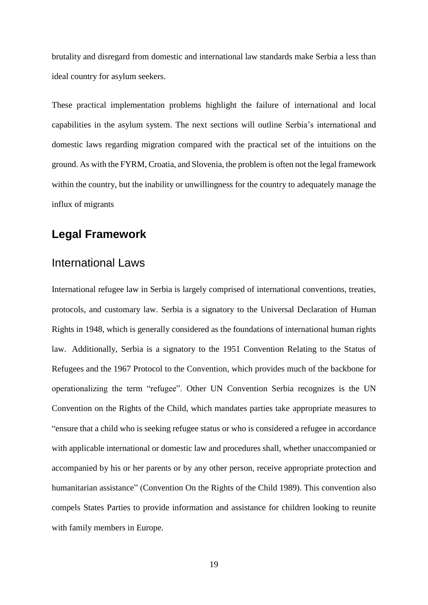brutality and disregard from domestic and international law standards make Serbia a less than ideal country for asylum seekers.

These practical implementation problems highlight the failure of international and local capabilities in the asylum system. The next sections will outline Serbia's international and domestic laws regarding migration compared with the practical set of the intuitions on the ground. As with the FYRM, Croatia, and Slovenia, the problem is often not the legal framework within the country, but the inability or unwillingness for the country to adequately manage the influx of migrants

### <span id="page-24-1"></span><span id="page-24-0"></span>**Legal Framework**

#### International Laws

International refugee law in Serbia is largely comprised of international conventions, treaties, protocols, and customary law. Serbia is a signatory to the Universal Declaration of Human Rights in 1948, which is generally considered as the foundations of international human rights law. Additionally, Serbia is a signatory to the 1951 Convention Relating to the Status of Refugees and the 1967 Protocol to the Convention, which provides much of the backbone for operationalizing the term "refugee". Other UN Convention Serbia recognizes is the UN Convention on the Rights of the Child, which mandates parties take appropriate measures to "ensure that a child who is seeking refugee status or who is considered a refugee in accordance with applicable international or domestic law and procedures shall, whether unaccompanied or accompanied by his or her parents or by any other person, receive appropriate protection and humanitarian assistance" (Convention On the Rights of the Child 1989). This convention also compels States Parties to provide information and assistance for children looking to reunite with family members in Europe.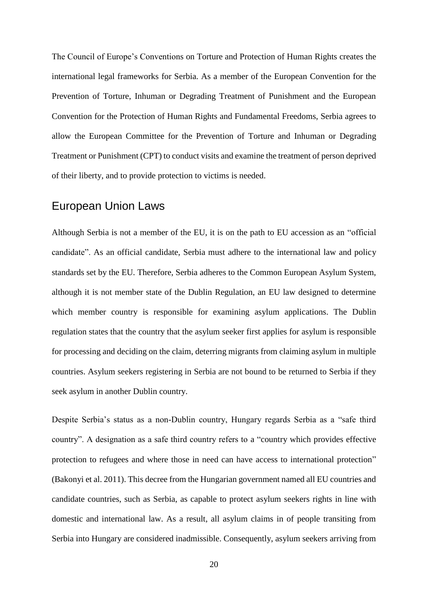The Council of Europe's Conventions on Torture and Protection of Human Rights creates the international legal frameworks for Serbia. As a member of the European Convention for the Prevention of Torture, Inhuman or Degrading Treatment of Punishment and the European Convention for the Protection of Human Rights and Fundamental Freedoms, Serbia agrees to allow the European Committee for the Prevention of Torture and Inhuman or Degrading Treatment or Punishment (CPT) to conduct visits and examine the treatment of person deprived of their liberty, and to provide protection to victims is needed.

### <span id="page-25-0"></span>European Union Laws

Although Serbia is not a member of the EU, it is on the path to EU accession as an "official candidate". As an official candidate, Serbia must adhere to the international law and policy standards set by the EU. Therefore, Serbia adheres to the Common European Asylum System, although it is not member state of the Dublin Regulation, an EU law designed to determine which member country is responsible for examining asylum applications. The Dublin regulation states that the country that the asylum seeker first applies for asylum is responsible for processing and deciding on the claim, deterring migrants from claiming asylum in multiple countries. Asylum seekers registering in Serbia are not bound to be returned to Serbia if they seek asylum in another Dublin country.

Despite Serbia's status as a non-Dublin country, Hungary regards Serbia as a "safe third country". A designation as a safe third country refers to a "country which provides effective protection to refugees and where those in need can have access to international protection" (Bakonyi et al. 2011). This decree from the Hungarian government named all EU countries and candidate countries, such as Serbia, as capable to protect asylum seekers rights in line with domestic and international law. As a result, all asylum claims in of people transiting from Serbia into Hungary are considered inadmissible. Consequently, asylum seekers arriving from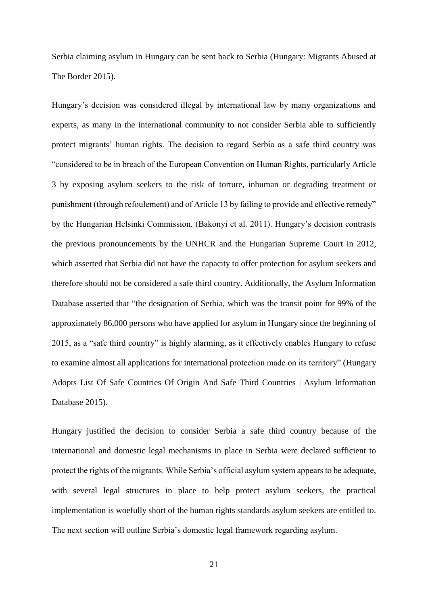Serbia claiming asylum in Hungary can be sent back to Serbia (Hungary: Migrants Abused at The Border 2015).

Hungary's decision was considered illegal by international law by many organizations and experts, as many in the international community to not consider Serbia able to sufficiently protect migrants' human rights. The decision to regard Serbia as a safe third country was "considered to be in breach of the European Convention on Human Rights, particularly Article 3 by exposing asylum seekers to the risk of torture, inhuman or degrading treatment or punishment (through refoulement) and of Article 13 by failing to provide and effective remedy" by the Hungarian Helsinki Commission. (Bakonyi et al. 2011). Hungary's decision contrasts the previous pronouncements by the UNHCR and the Hungarian Supreme Court in 2012, which asserted that Serbia did not have the capacity to offer protection for asylum seekers and therefore should not be considered a safe third country. Additionally, the Asylum Information Database asserted that "the designation of Serbia, which was the transit point for 99% of the approximately 86,000 persons who have applied for asylum in Hungary since the beginning of 2015, as a "safe third country" is highly alarming, as it effectively enables Hungary to refuse to examine almost all applications for international protection made on its territory" (Hungary Adopts List Of Safe Countries Of Origin And Safe Third Countries | Asylum Information Database 2015).

Hungary justified the decision to consider Serbia a safe third country because of the international and domestic legal mechanisms in place in Serbia were declared sufficient to protect the rights of the migrants. While Serbia's official asylum system appears to be adequate, with several legal structures in place to help protect asylum seekers, the practical implementation is woefully short of the human rights standards asylum seekers are entitled to. The next section will outline Serbia's domestic legal framework regarding asylum.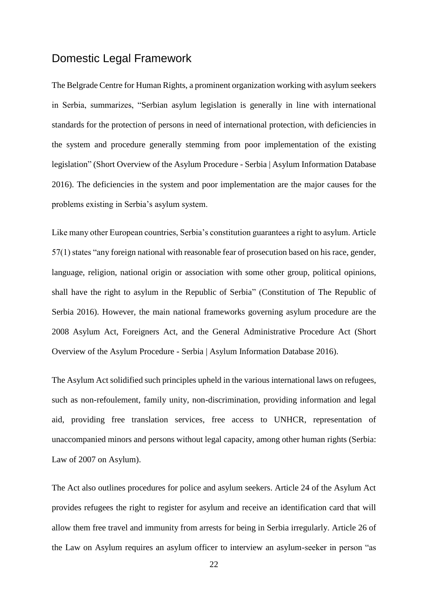### <span id="page-27-0"></span>Domestic Legal Framework

The Belgrade Centre for Human Rights, a prominent organization working with asylum seekers in Serbia, summarizes, "Serbian asylum legislation is generally in line with international standards for the protection of persons in need of international protection, with deficiencies in the system and procedure generally stemming from poor implementation of the existing legislation" (Short Overview of the Asylum Procedure - Serbia | Asylum Information Database 2016). The deficiencies in the system and poor implementation are the major causes for the problems existing in Serbia's asylum system.

Like many other European countries, Serbia's constitution guarantees a right to asylum. Article 57(1) states "any foreign national with reasonable fear of prosecution based on his race, gender, language, religion, national origin or association with some other group, political opinions, shall have the right to asylum in the Republic of Serbia" (Constitution of The Republic of Serbia 2016). However, the main national frameworks governing asylum procedure are the 2008 Asylum Act, Foreigners Act, and the General Administrative Procedure Act (Short Overview of the Asylum Procedure - Serbia | Asylum Information Database 2016).

The Asylum Act solidified such principles upheld in the various international laws on refugees, such as non-refoulement, family unity, non-discrimination, providing information and legal aid, providing free translation services, free access to UNHCR, representation of unaccompanied minors and persons without legal capacity, among other human rights (Serbia: Law of 2007 on Asylum).

The Act also outlines procedures for police and asylum seekers. Article 24 of the Asylum Act provides refugees the right to register for asylum and receive an identification card that will allow them free travel and immunity from arrests for being in Serbia irregularly. Article 26 of the Law on Asylum requires an asylum officer to interview an asylum-seeker in person "as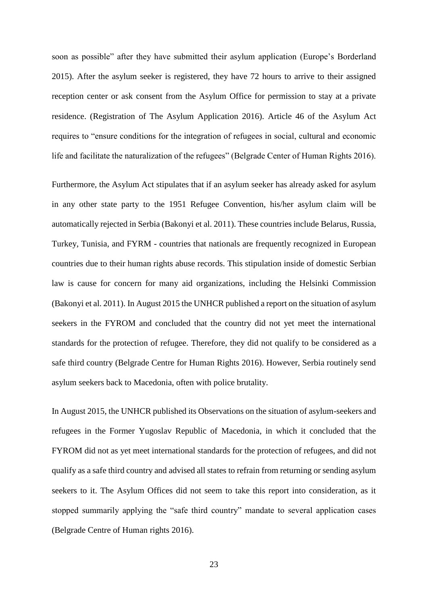soon as possible" after they have submitted their asylum application (Europe's Borderland 2015). After the asylum seeker is registered, they have 72 hours to arrive to their assigned reception center or ask consent from the Asylum Office for permission to stay at a private residence. (Registration of The Asylum Application 2016). Article 46 of the Asylum Act requires to "ensure conditions for the integration of refugees in social, cultural and economic life and facilitate the naturalization of the refugees" (Belgrade Center of Human Rights 2016).

Furthermore, the Asylum Act stipulates that if an asylum seeker has already asked for asylum in any other state party to the 1951 Refugee Convention, his/her asylum claim will be automatically rejected in Serbia (Bakonyi et al. 2011). These countries include Belarus, Russia, Turkey, Tunisia, and FYRM - countries that nationals are frequently recognized in European countries due to their human rights abuse records. This stipulation inside of domestic Serbian law is cause for concern for many aid organizations, including the Helsinki Commission (Bakonyi et al. 2011). In August 2015 the UNHCR published a report on the situation of asylum seekers in the FYROM and concluded that the country did not yet meet the international standards for the protection of refugee. Therefore, they did not qualify to be considered as a safe third country (Belgrade Centre for Human Rights 2016). However, Serbia routinely send asylum seekers back to Macedonia, often with police brutality.

In August 2015, the UNHCR published its Observations on the situation of asylum-seekers and refugees in the Former Yugoslav Republic of Macedonia, in which it concluded that the FYROM did not as yet meet international standards for the protection of refugees, and did not qualify as a safe third country and advised all states to refrain from returning or sending asylum seekers to it. The Asylum Offices did not seem to take this report into consideration, as it stopped summarily applying the "safe third country" mandate to several application cases (Belgrade Centre of Human rights 2016).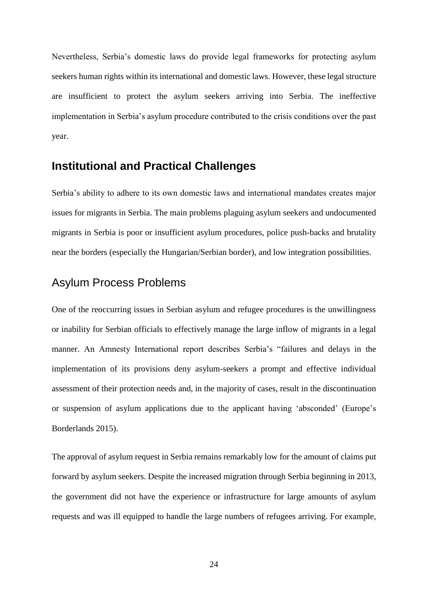Nevertheless, Serbia's domestic laws do provide legal frameworks for protecting asylum seekers human rights within its international and domestic laws. However, these legal structure are insufficient to protect the asylum seekers arriving into Serbia. The ineffective implementation in Serbia's asylum procedure contributed to the crisis conditions over the past year.

### <span id="page-29-0"></span>**Institutional and Practical Challenges**

Serbia's ability to adhere to its own domestic laws and international mandates creates major issues for migrants in Serbia. The main problems plaguing asylum seekers and undocumented migrants in Serbia is poor or insufficient asylum procedures, police push-backs and brutality near the borders (especially the Hungarian/Serbian border), and low integration possibilities.

### <span id="page-29-1"></span>Asylum Process Problems

One of the reoccurring issues in Serbian asylum and refugee procedures is the unwillingness or inability for Serbian officials to effectively manage the large inflow of migrants in a legal manner. An Amnesty International report describes Serbia's "failures and delays in the implementation of its provisions deny asylum-seekers a prompt and effective individual assessment of their protection needs and, in the majority of cases, result in the discontinuation or suspension of asylum applications due to the applicant having 'absconded' (Europe's Borderlands 2015).

The approval of asylum request in Serbia remains remarkably low for the amount of claims put forward by asylum seekers. Despite the increased migration through Serbia beginning in 2013, the government did not have the experience or infrastructure for large amounts of asylum requests and was ill equipped to handle the large numbers of refugees arriving. For example,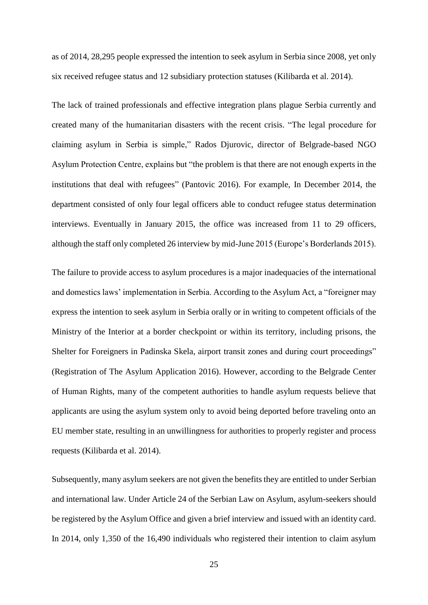as of 2014, 28,295 people expressed the intention to seek asylum in Serbia since 2008, yet only six received refugee status and 12 subsidiary protection statuses (Kilibarda et al. 2014).

The lack of trained professionals and effective integration plans plague Serbia currently and created many of the humanitarian disasters with the recent crisis. "The legal procedure for claiming asylum in Serbia is simple," Rados Djurovic, director of Belgrade-based NGO Asylum Protection Centre, explains but "the problem is that there are not enough experts in the institutions that deal with refugees" (Pantovic 2016). For example, In December 2014, the department consisted of only four legal officers able to conduct refugee status determination interviews. Eventually in January 2015, the office was increased from 11 to 29 officers, although the staff only completed 26 interview by mid-June 2015 (Europe's Borderlands 2015).

The failure to provide access to asylum procedures is a major inadequacies of the international and domestics laws' implementation in Serbia. According to the Asylum Act, a "foreigner may express the intention to seek asylum in Serbia orally or in writing to competent officials of the Ministry of the Interior at a border checkpoint or within its territory, including prisons, the Shelter for Foreigners in Padinska Skela, airport transit zones and during court proceedings" (Registration of The Asylum Application 2016). However, according to the Belgrade Center of Human Rights, many of the competent authorities to handle asylum requests believe that applicants are using the asylum system only to avoid being deported before traveling onto an EU member state, resulting in an unwillingness for authorities to properly register and process requests (Kilibarda et al. 2014).

Subsequently, many asylum seekers are not given the benefits they are entitled to under Serbian and international law. Under Article 24 of the Serbian Law on Asylum, asylum-seekers should be registered by the Asylum Office and given a brief interview and issued with an identity card. In 2014, only 1,350 of the 16,490 individuals who registered their intention to claim asylum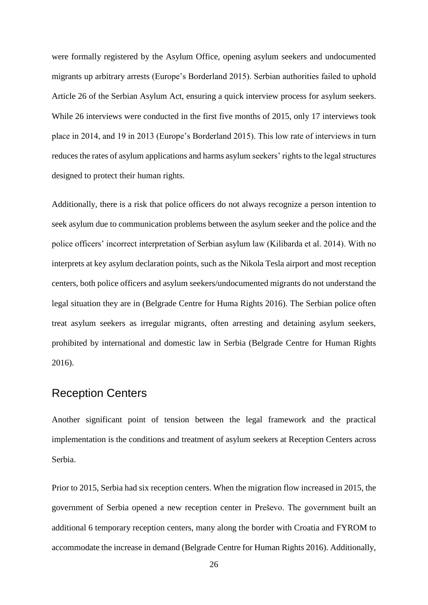were formally registered by the Asylum Office, opening asylum seekers and undocumented migrants up arbitrary arrests (Europe's Borderland 2015). Serbian authorities failed to uphold Article 26 of the Serbian Asylum Act, ensuring a quick interview process for asylum seekers. While 26 interviews were conducted in the first five months of 2015, only 17 interviews took place in 2014, and 19 in 2013 (Europe's Borderland 2015). This low rate of interviews in turn reduces the rates of asylum applications and harms asylum seekers' rights to the legal structures designed to protect their human rights.

Additionally, there is a risk that police officers do not always recognize a person intention to seek asylum due to communication problems between the asylum seeker and the police and the police officers' incorrect interpretation of Serbian asylum law (Kilibarda et al. 2014). With no interprets at key asylum declaration points, such as the Nikola Tesla airport and most reception centers, both police officers and asylum seekers/undocumented migrants do not understand the legal situation they are in (Belgrade Centre for Huma Rights 2016). The Serbian police often treat asylum seekers as irregular migrants, often arresting and detaining asylum seekers, prohibited by international and domestic law in Serbia (Belgrade Centre for Human Rights 2016).

### <span id="page-31-0"></span>Reception Centers

Another significant point of tension between the legal framework and the practical implementation is the conditions and treatment of asylum seekers at Reception Centers across Serbia.

Prior to 2015, Serbia had six reception centers. When the migration flow increased in 2015, the government of Serbia opened a new reception center in Preševo. The government built an additional 6 temporary reception centers, many along the border with Croatia and FYROM to accommodate the increase in demand (Belgrade Centre for Human Rights 2016). Additionally,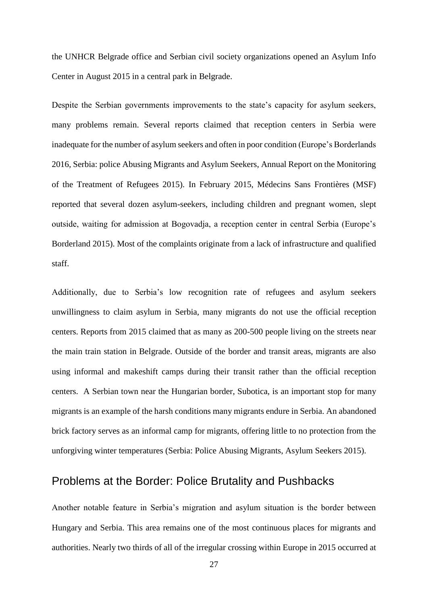the UNHCR Belgrade office and Serbian civil society organizations opened an Asylum Info Center in August 2015 in a central park in Belgrade.

Despite the Serbian governments improvements to the state's capacity for asylum seekers, many problems remain. Several reports claimed that reception centers in Serbia were inadequate for the number of asylum seekers and often in poor condition (Europe's Borderlands 2016, Serbia: police Abusing Migrants and Asylum Seekers, Annual Report on the Monitoring of the Treatment of Refugees 2015). In February 2015, Médecins Sans Frontières (MSF) reported that several dozen asylum-seekers, including children and pregnant women, slept outside, waiting for admission at Bogovadja, a reception center in central Serbia (Europe's Borderland 2015). Most of the complaints originate from a lack of infrastructure and qualified staff.

Additionally, due to Serbia's low recognition rate of refugees and asylum seekers unwillingness to claim asylum in Serbia, many migrants do not use the official reception centers. Reports from 2015 claimed that as many as 200-500 people living on the streets near the main train station in Belgrade. Outside of the border and transit areas, migrants are also using informal and makeshift camps during their transit rather than the official reception centers. A Serbian town near the Hungarian border, Subotica, is an important stop for many migrants is an example of the harsh conditions many migrants endure in Serbia. An abandoned brick factory serves as an informal camp for migrants, offering little to no protection from the unforgiving winter temperatures (Serbia: Police Abusing Migrants, Asylum Seekers 2015).

### <span id="page-32-0"></span>Problems at the Border: Police Brutality and Pushbacks

Another notable feature in Serbia's migration and asylum situation is the border between Hungary and Serbia. This area remains one of the most continuous places for migrants and authorities. Nearly two thirds of all of the irregular crossing within Europe in 2015 occurred at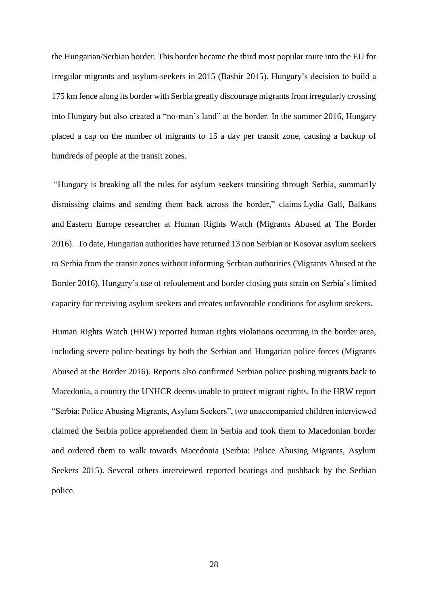the Hungarian/Serbian border. This border became the third most popular route into the EU for irregular migrants and asylum-seekers in 2015 (Bashir 2015). Hungary's decision to build a 175 km fence along its border with Serbia greatly discourage migrants from irregularly crossing into Hungary but also created a "no-man's land" at the border. In the summer 2016, Hungary placed a cap on the number of migrants to 15 a day per transit zone, causing a backup of hundreds of people at the transit zones.

"Hungary is breaking all the rules for asylum seekers transiting through Serbia, summarily dismissing claims and sending them back across the border," claims Lydia Gall, Balkans and Eastern Europe researcher at Human Rights Watch (Migrants Abused at The Border 2016). To date, Hungarian authorities have returned 13 non Serbian or Kosovar asylum seekers to Serbia from the transit zones without informing Serbian authorities (Migrants Abused at the Border 2016). Hungary's use of refoulement and border closing puts strain on Serbia's limited capacity for receiving asylum seekers and creates unfavorable conditions for asylum seekers.

Human Rights Watch (HRW) reported human rights violations occurring in the border area, including severe police beatings by both the Serbian and Hungarian police forces (Migrants Abused at the Border 2016). Reports also confirmed Serbian police pushing migrants back to Macedonia, a country the UNHCR deems unable to protect migrant rights. In the HRW report "Serbia: Police Abusing Migrants, Asylum Seekers", two unaccompanied children interviewed claimed the Serbia police apprehended them in Serbia and took them to Macedonian border and ordered them to walk towards Macedonia (Serbia: Police Abusing Migrants, Asylum Seekers 2015). Several others interviewed reported beatings and pushback by the Serbian police.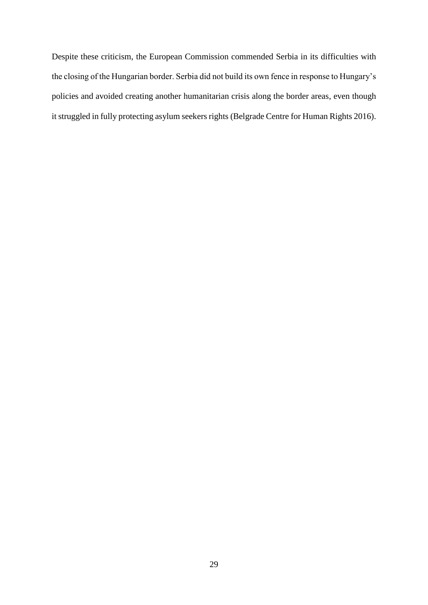Despite these criticism, the European Commission commended Serbia in its difficulties with the closing of the Hungarian border. Serbia did not build its own fence in response to Hungary's policies and avoided creating another humanitarian crisis along the border areas, even though it struggled in fully protecting asylum seekers rights (Belgrade Centre for Human Rights 2016).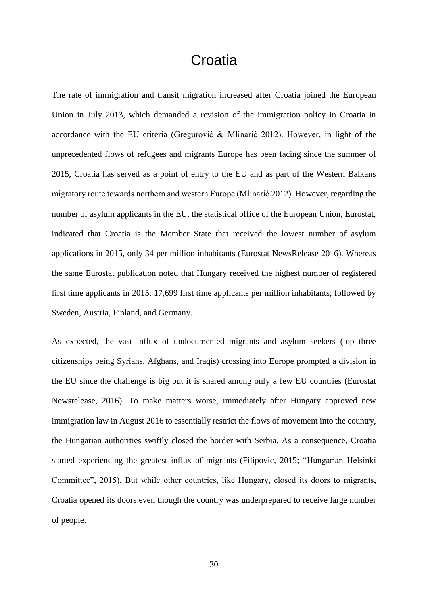## Croatia

<span id="page-35-0"></span>The rate of immigration and transit migration increased after Croatia joined the European Union in July 2013, which demanded a revision of the immigration policy in Croatia in accordance with the EU criteria [\(Gregurović](https://www.researchgate.net/profile/Snjezana_Gregurovic) & Mlinarić 2012). However, in light of the unprecedented flows of refugees and migrants Europe has been facing since the summer of 2015, Croatia has served as a point of entry to the EU and as part of the Western Balkans migratory route towards northern and western Europe (Mlinarić 2012). However, regarding the number of asylum applicants in the EU, the statistical office of the European Union, Eurostat, indicated that Croatia is the Member State that received the lowest number of asylum applications in 2015, only 34 per million inhabitants (Eurostat NewsRelease 2016). Whereas the same Eurostat publication noted that Hungary received the highest number of registered first time applicants in 2015: 17,699 first time applicants per million inhabitants; followed by Sweden, Austria, Finland, and Germany.

As expected, the vast influx of undocumented migrants and asylum seekers (top three citizenships being Syrians, Afghans, and Iraqis) crossing into Europe prompted a division in the EU since the challenge is big but it is shared among only a few EU countries (Eurostat Newsrelease, 2016). To make matters worse, immediately after Hungary approved new immigration law in August 2016 to essentially restrict the flows of movement into the country, the Hungarian authorities swiftly closed the border with Serbia. As a consequence, Croatia started experiencing the greatest influx of migrants (Filipovic, 2015; "Hungarian Helsinki Committee", 2015). But while other countries, like Hungary, closed its doors to migrants, Croatia opened its doors even though the country was underprepared to receive large number of people.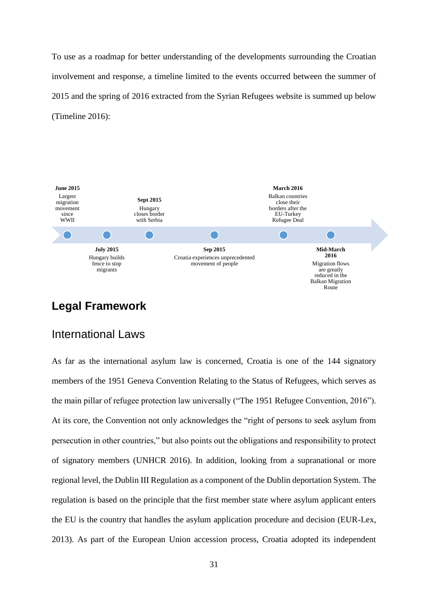To use as a roadmap for better understanding of the developments surrounding the Croatian involvement and response, a timeline limited to the events occurred between the summer of 2015 and the spring of 2016 extracted from the Syrian Refugees website is summed up below (Timeline 2016):



## <span id="page-36-1"></span><span id="page-36-0"></span>**Legal Framework**

### International Laws

As far as the international asylum law is concerned, Croatia is one of the 144 signatory members of the 1951 Geneva Convention Relating to the Status of Refugees, which serves as the main pillar of refugee protection law universally ("The 1951 Refugee Convention, 2016"). At its core, the Convention not only acknowledges the "right of persons to seek asylum from persecution in other countries," but also points out the obligations and responsibility to protect of signatory members (UNHCR 2016). In addition, looking from a supranational or more regional level, the Dublin III Regulation as a component of the Dublin deportation System. The regulation is based on the principle that the first member state where asylum applicant enters the EU is the country that handles the asylum application procedure and decision (EUR-Lex, 2013). As part of the European Union accession process, Croatia adopted its independent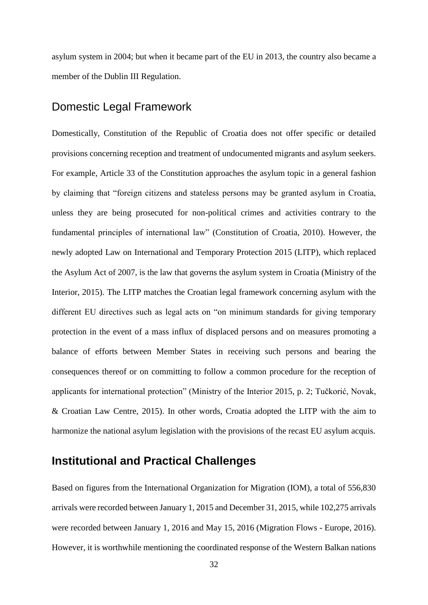<span id="page-37-0"></span>asylum system in 2004; but when it became part of the EU in 2013, the country also became a member of the Dublin III Regulation.

### Domestic Legal Framework

Domestically, Constitution of the Republic of Croatia does not offer specific or detailed provisions concerning reception and treatment of undocumented migrants and asylum seekers. For example, Article 33 of the Constitution approaches the asylum topic in a general fashion by claiming that "foreign citizens and stateless persons may be granted asylum in Croatia, unless they are being prosecuted for non-political crimes and activities contrary to the fundamental principles of international law" (Constitution of Croatia, 2010). However, the newly adopted Law on International and Temporary Protection 2015 (LITP), which replaced the Asylum Act of 2007, is the law that governs the asylum system in Croatia (Ministry of the Interior, 2015). The LITP matches the Croatian legal framework concerning asylum with the different EU directives such as legal acts on "on minimum standards for giving temporary protection in the event of a mass influx of displaced persons and on measures promoting a balance of efforts between Member States in receiving such persons and bearing the consequences thereof or on committing to follow a common procedure for the reception of applicants for international protection" (Ministry of the Interior 2015, p. 2; Tučkorić, Novak, & Croatian Law Centre, 2015). In other words, Croatia adopted the LITP with the aim to harmonize the national asylum legislation with the provisions of the recast EU asylum acquis.

### <span id="page-37-1"></span>**Institutional and Practical Challenges**

Based on figures from the International Organization for Migration (IOM), a total of 556,830 arrivals were recorded between January 1, 2015 and December 31, 2015, while 102,275 arrivals were recorded between January 1, 2016 and May 15, 2016 (Migration Flows - Europe, 2016). However, it is worthwhile mentioning the coordinated response of the Western Balkan nations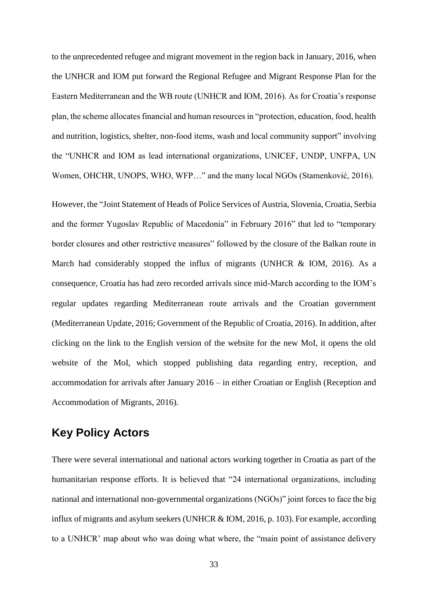to the unprecedented refugee and migrant movement in the region back in January, 2016, when the UNHCR and IOM put forward the Regional Refugee and Migrant Response Plan for the Eastern Mediterranean and the WB route (UNHCR and IOM, 2016). As for Croatia's response plan, the scheme allocates financial and human resources in "protection, education, food, health and nutrition, logistics, shelter, non-food items, wash and local community support" involving the "UNHCR and IOM as lead international organizations, UNICEF, UNDP, UNFPA, UN Women, OHCHR, UNOPS, WHO, WFP…" and the many local NGOs (Stamenković, 2016).

However, the "Joint Statement of Heads of Police Services of Austria, Slovenia, Croatia, Serbia and the former Yugoslav Republic of Macedonia" in February 2016" that led to "temporary border closures and other restrictive measures" followed by the closure of the Balkan route in March had considerably stopped the influx of migrants (UNHCR & IOM, 2016). As a consequence, Croatia has had zero recorded arrivals since mid-March according to the IOM's regular updates regarding Mediterranean route arrivals and the Croatian government (Mediterranean Update, 2016; Government of the Republic of Croatia, 2016). In addition, after clicking on the link to the English version of the website for the new MoI, it opens the old website of the MoI, which stopped publishing data regarding entry, reception, and accommodation for arrivals after January 2016 – in either Croatian or English (Reception and Accommodation of Migrants, 2016).

### <span id="page-38-0"></span>**Key Policy Actors**

There were several international and national actors working together in Croatia as part of the humanitarian response efforts. It is believed that "24 international organizations, including national and international non-governmental organizations (NGOs)" joint forces to face the big influx of migrants and asylum seekers (UNHCR & IOM, 2016, p. 103). For example, according to a UNHCR' map about who was doing what where, the "main point of assistance delivery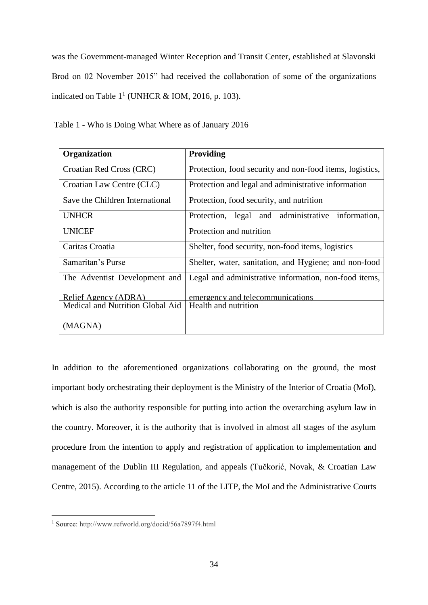was the Government-managed Winter Reception and Transit Center, established at Slavonski Brod on 02 November 2015" had received the collaboration of some of the organizations indicated on Table  $1^1$  (UNHCR & IOM, 2016, p. 103).

| Organization                     | Providing                                                |
|----------------------------------|----------------------------------------------------------|
| Croatian Red Cross (CRC)         | Protection, food security and non-food items, logistics, |
| Croatian Law Centre (CLC)        | Protection and legal and administrative information      |
| Save the Children International  | Protection, food security, and nutrition                 |
| <b>UNHCR</b>                     | Protection, legal and administrative information,        |
| <b>UNICEF</b>                    | Protection and nutrition                                 |
| Caritas Croatia                  | Shelter, food security, non-food items, logistics        |
| Samaritan's Purse                | Shelter, water, sanitation, and Hygiene; and non-food    |
| The Adventist Development and    | Legal and administrative information, non-food items,    |
| Relief Agency (ADRA)             | emergency and telecommunications                         |
| Medical and Nutrition Global Aid | Health and nutrition                                     |
| (MAGNA)                          |                                                          |

Table 1 - Who is Doing What Where as of January 2016

In addition to the aforementioned organizations collaborating on the ground, the most important body orchestrating their deployment is the Ministry of the Interior of Croatia (MoI), which is also the authority responsible for putting into action the overarching asylum law in the country. Moreover, it is the authority that is involved in almost all stages of the asylum procedure from the intention to apply and registration of application to implementation and management of the Dublin III Regulation, and appeals (Tučkorić, Novak, & Croatian Law Centre, 2015). According to the article 11 of the LITP, the MoI and the Administrative Courts

1

<sup>1</sup> Source: http://www.refworld.org/docid/56a7897f4.html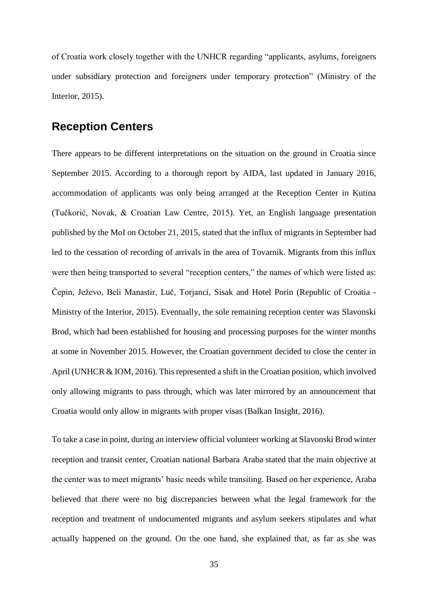<span id="page-40-0"></span>of Croatia work closely together with the UNHCR regarding "applicants, asylums, foreigners under subsidiary protection and foreigners under temporary protection" (Ministry of the Interior, 2015).

### **Reception Centers**

There appears to be different interpretations on the situation on the ground in Croatia since September 2015. According to a thorough report by AIDA, last updated in January 2016, accommodation of applicants was only being arranged at the Reception Center in Kutina (Tučkorić, Novak, & Croatian Law Centre, 2015). Yet, an English language presentation published by the MoI on October 21, 2015, stated that the influx of migrants in September had led to the cessation of recording of arrivals in the area of Tovarnik. Migrants from this influx were then being transported to several "reception centers," the names of which were listed as: Čepin, Ježevo, Beli Manastir, Luč, Torjanci, Sisak and Hotel Porin (Republic of Croatia - Ministry of the Interior, 2015). Eventually, the sole remaining reception center was Slavonski Brod, which had been established for housing and processing purposes for the winter months at some in November 2015. However, the Croatian government decided to close the center in April (UNHCR & IOM, 2016). This represented a shift in the Croatian position, which involved only allowing migrants to pass through, which was later mirrored by an announcement that Croatia would only allow in migrants with proper visas (Balkan Insight, 2016).

To take a case in point, during an interview official volunteer working at Slavonski Brod winter reception and transit center, Croatian national Barbara Araba stated that the main objective at the center was to meet migrants' basic needs while transiting. Based on her experience, Araba believed that there were no big discrepancies between what the legal framework for the reception and treatment of undocumented migrants and asylum seekers stipulates and what actually happened on the ground. On the one hand, she explained that, as far as she was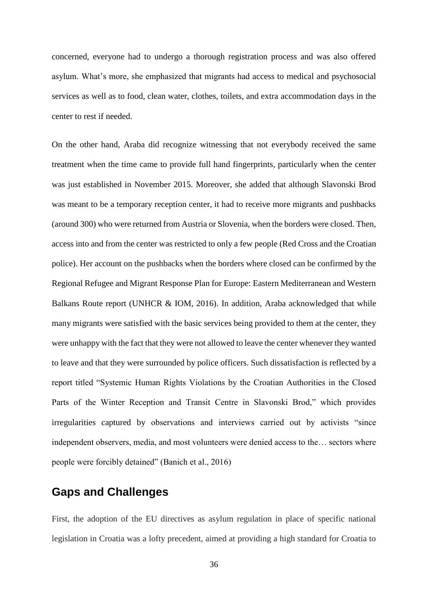concerned, everyone had to undergo a thorough registration process and was also offered asylum. What's more, she emphasized that migrants had access to medical and psychosocial services as well as to food, clean water, clothes, toilets, and extra accommodation days in the center to rest if needed.

On the other hand, Araba did recognize witnessing that not everybody received the same treatment when the time came to provide full hand fingerprints, particularly when the center was just established in November 2015. Moreover, she added that although Slavonski Brod was meant to be a temporary reception center, it had to receive more migrants and pushbacks (around 300) who were returned from Austria or Slovenia, when the borders were closed. Then, access into and from the center was restricted to only a few people (Red Cross and the Croatian police). Her account on the pushbacks when the borders where closed can be confirmed by the Regional Refugee and Migrant Response Plan for Europe: Eastern Mediterranean and Western Balkans Route report (UNHCR & IOM, 2016). In addition, Araba acknowledged that while many migrants were satisfied with the basic services being provided to them at the center, they were unhappy with the fact that they were not allowed to leave the center whenever they wanted to leave and that they were surrounded by police officers. Such dissatisfaction is reflected by a report titled "Systemic Human Rights Violations by the Croatian Authorities in the Closed Parts of the Winter Reception and Transit Centre in Slavonski Brod," which provides irregularities captured by observations and interviews carried out by activists "since independent observers, media, and most volunteers were denied access to the… sectors where people were forcibly detained" (Banich et al., 2016)

### <span id="page-41-0"></span>**Gaps and Challenges**

First, the adoption of the EU directives as asylum regulation in place of specific national legislation in Croatia was a lofty precedent, aimed at providing a high standard for Croatia to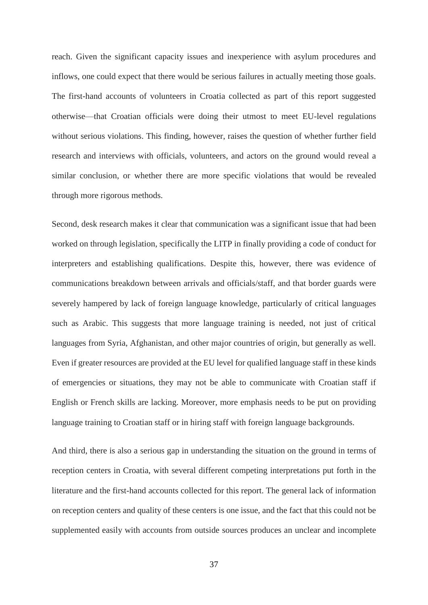reach. Given the significant capacity issues and inexperience with asylum procedures and inflows, one could expect that there would be serious failures in actually meeting those goals. The first-hand accounts of volunteers in Croatia collected as part of this report suggested otherwise—that Croatian officials were doing their utmost to meet EU-level regulations without serious violations. This finding, however, raises the question of whether further field research and interviews with officials, volunteers, and actors on the ground would reveal a similar conclusion, or whether there are more specific violations that would be revealed through more rigorous methods.

Second, desk research makes it clear that communication was a significant issue that had been worked on through legislation, specifically the LITP in finally providing a code of conduct for interpreters and establishing qualifications. Despite this, however, there was evidence of communications breakdown between arrivals and officials/staff, and that border guards were severely hampered by lack of foreign language knowledge, particularly of critical languages such as Arabic. This suggests that more language training is needed, not just of critical languages from Syria, Afghanistan, and other major countries of origin, but generally as well. Even if greater resources are provided at the EU level for qualified language staff in these kinds of emergencies or situations, they may not be able to communicate with Croatian staff if English or French skills are lacking. Moreover, more emphasis needs to be put on providing language training to Croatian staff or in hiring staff with foreign language backgrounds.

And third, there is also a serious gap in understanding the situation on the ground in terms of reception centers in Croatia, with several different competing interpretations put forth in the literature and the first-hand accounts collected for this report. The general lack of information on reception centers and quality of these centers is one issue, and the fact that this could not be supplemented easily with accounts from outside sources produces an unclear and incomplete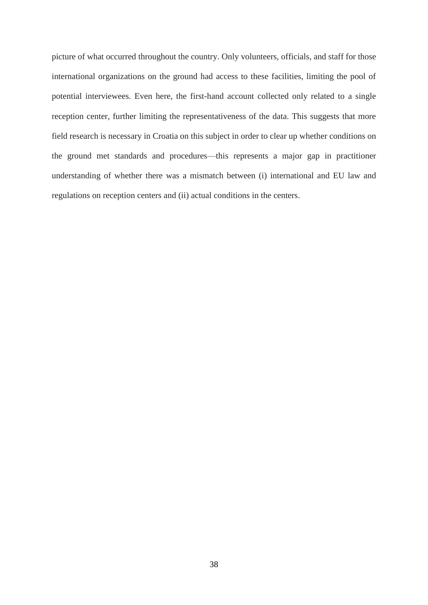picture of what occurred throughout the country. Only volunteers, officials, and staff for those international organizations on the ground had access to these facilities, limiting the pool of potential interviewees. Even here, the first-hand account collected only related to a single reception center, further limiting the representativeness of the data. This suggests that more field research is necessary in Croatia on this subject in order to clear up whether conditions on the ground met standards and procedures—this represents a major gap in practitioner understanding of whether there was a mismatch between (i) international and EU law and regulations on reception centers and (ii) actual conditions in the centers.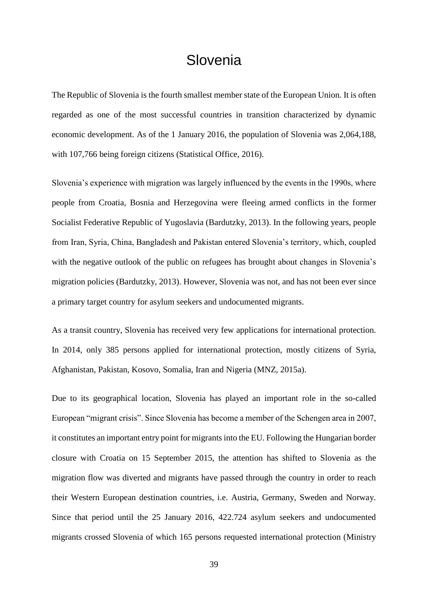## **Slovenia**

<span id="page-44-0"></span>The Republic of Slovenia is the fourth smallest member state of the European Union. It is often regarded as one of the most successful countries in transition characterized by dynamic economic development. As of the 1 January 2016, the population of Slovenia was 2,064,188, with 107,766 being foreign citizens (Statistical Office, 2016).

Slovenia's experience with migration was largely influenced by the events in the 1990s, where people from Croatia, Bosnia and Herzegovina were fleeing armed conflicts in the former Socialist Federative Republic of Yugoslavia (Bardutzky, 2013). In the following years, people from Iran, Syria, China, Bangladesh and Pakistan entered Slovenia's territory, which, coupled with the negative outlook of the public on refugees has brought about changes in Slovenia's migration policies (Bardutzky, 2013). However, Slovenia was not, and has not been ever since a primary target country for asylum seekers and undocumented migrants.

As a transit country, Slovenia has received very few applications for international protection. In 2014, only 385 persons applied for international protection, mostly citizens of Syria, Afghanistan, Pakistan, Kosovo, Somalia, Iran and Nigeria (MNZ, 2015a).

Due to its geographical location, Slovenia has played an important role in the so-called European "migrant crisis". Since Slovenia has become a member of the Schengen area in 2007, it constitutes an important entry point for migrants into the EU. Following the Hungarian border closure with Croatia on 15 September 2015, the attention has shifted to Slovenia as the migration flow was diverted and migrants have passed through the country in order to reach their Western European destination countries, i.e. Austria, Germany, Sweden and Norway. Since that period until the 25 January 2016, 422.724 asylum seekers and undocumented migrants crossed Slovenia of which 165 persons requested international protection (Ministry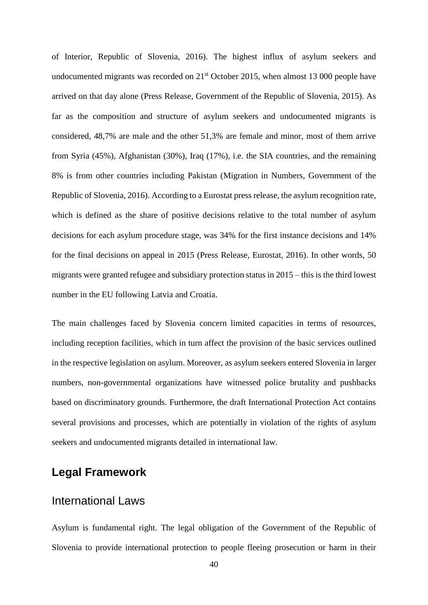of Interior, Republic of Slovenia, 2016). The highest influx of asylum seekers and undocumented migrants was recorded on  $21<sup>st</sup>$  October 2015, when almost 13 000 people have arrived on that day alone (Press Release, Government of the Republic of Slovenia, 2015). As far as the composition and structure of asylum seekers and undocumented migrants is considered, 48,7% are male and the other 51,3% are female and minor, most of them arrive from Syria (45%), Afghanistan (30%), Iraq (17%), i.e. the SIA countries, and the remaining 8% is from other countries including Pakistan (Migration in Numbers, Government of the Republic of Slovenia, 2016). According to a Eurostat press release, the asylum recognition rate, which is defined as the share of positive decisions relative to the total number of asylum decisions for each asylum procedure stage, was 34% for the first instance decisions and 14% for the final decisions on appeal in 2015 (Press Release, Eurostat, 2016). In other words, 50 migrants were granted refugee and subsidiary protection status in 2015 – this is the third lowest number in the EU following Latvia and Croatia.

The main challenges faced by Slovenia concern limited capacities in terms of resources, including reception facilities, which in turn affect the provision of the basic services outlined in the respective legislation on asylum. Moreover, as asylum seekers entered Slovenia in larger numbers, non-governmental organizations have witnessed police brutality and pushbacks based on discriminatory grounds. Furthermore, the draft International Protection Act contains several provisions and processes, which are potentially in violation of the rights of asylum seekers and undocumented migrants detailed in international law.

### <span id="page-45-1"></span><span id="page-45-0"></span>**Legal Framework**

### International Laws

Asylum is fundamental right. The legal obligation of the Government of the Republic of Slovenia to provide international protection to people fleeing prosecution or harm in their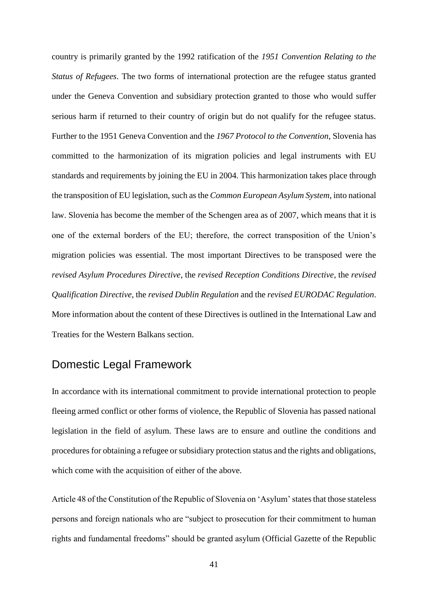country is primarily granted by the 1992 ratification of the *1951 Convention Relating to the Status of Refugees*. The two forms of international protection are the refugee status granted under the Geneva Convention and subsidiary protection granted to those who would suffer serious harm if returned to their country of origin but do not qualify for the refugee status. Further to the 1951 Geneva Convention and the *1967 Protocol to the Convention*, Slovenia has committed to the harmonization of its migration policies and legal instruments with EU standards and requirements by joining the EU in 2004. This harmonization takes place through the transposition of EU legislation, such as the *Common European Asylum System*, into national law. Slovenia has become the member of the Schengen area as of 2007, which means that it is one of the external borders of the EU; therefore, the correct transposition of the Union's migration policies was essential. The most important Directives to be transposed were the *revised Asylum Procedures Directive*, the *revised Reception Conditions Directive*, the *revised Qualification Directive*, the *revised Dublin Regulation* and the *revised EURODAC Regulation*. More information about the content of these Directives is outlined in the International Law and Treaties for the Western Balkans section.

### <span id="page-46-0"></span>Domestic Legal Framework

In accordance with its international commitment to provide international protection to people fleeing armed conflict or other forms of violence, the Republic of Slovenia has passed national legislation in the field of asylum. These laws are to ensure and outline the conditions and procedures for obtaining a refugee or subsidiary protection status and the rights and obligations, which come with the acquisition of either of the above.

Article 48 of the Constitution of the Republic of Slovenia on 'Asylum' states that those stateless persons and foreign nationals who are "subject to prosecution for their commitment to human rights and fundamental freedoms" should be granted asylum (Official Gazette of the Republic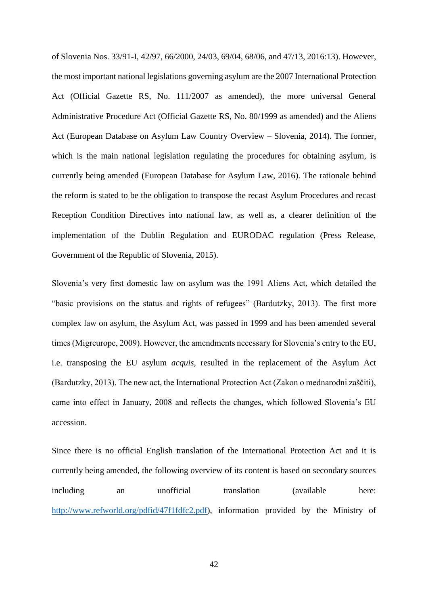of Slovenia Nos. 33/91-I, 42/97, 66/2000, 24/03, 69/04, 68/06, and 47/13, 2016:13). However, the most important national legislations governing asylum are the 2007 International Protection Act (Official Gazette RS, No. 111/2007 as amended), the more universal General Administrative Procedure Act (Official Gazette RS, No. 80/1999 as amended) and the Aliens Act (European Database on Asylum Law Country Overview – Slovenia, 2014). The former, which is the main national legislation regulating the procedures for obtaining asylum, is currently being amended (European Database for Asylum Law, 2016). The rationale behind the reform is stated to be the obligation to transpose the recast Asylum Procedures and recast Reception Condition Directives into national law, as well as, a clearer definition of the implementation of the Dublin Regulation and EURODAC regulation (Press Release, Government of the Republic of Slovenia, 2015).

Slovenia's very first domestic law on asylum was the 1991 Aliens Act, which detailed the "basic provisions on the status and rights of refugees" (Bardutzky, 2013). The first more complex law on asylum, the Asylum Act, was passed in 1999 and has been amended several times (Migreurope, 2009). However, the amendments necessary for Slovenia's entry to the EU, i.e. transposing the EU asylum *acquis*, resulted in the replacement of the Asylum Act (Bardutzky, 2013). The new act, the International Protection Act (Zakon o mednarodni zaščiti), came into effect in January, 2008 and reflects the changes, which followed Slovenia's EU accession.

Since there is no official English translation of the International Protection Act and it is currently being amended, the following overview of its content is based on secondary sources including an unofficial translation (available here: [http://www.refworld.org/pdfid/47f1fdfc2.pdf\)](http://www.refworld.org/pdfid/47f1fdfc2.pdf), information provided by the Ministry of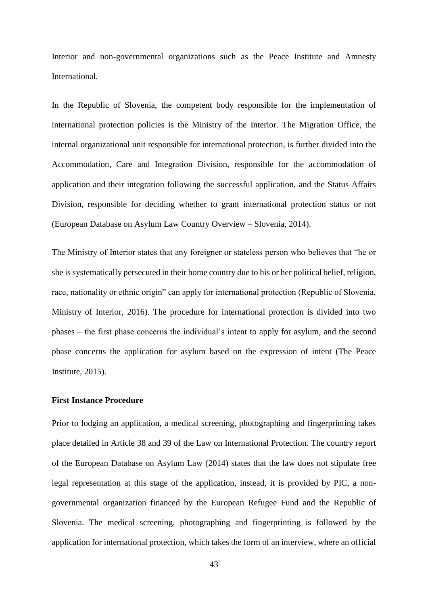Interior and non-governmental organizations such as the Peace Institute and Amnesty International.

In the Republic of Slovenia, the competent body responsible for the implementation of international protection policies is the Ministry of the Interior. The Migration Office, the internal organizational unit responsible for international protection, is further divided into the Accommodation, Care and Integration Division, responsible for the accommodation of application and their integration following the successful application, and the Status Affairs Division, responsible for deciding whether to grant international protection status or not (European Database on Asylum Law Country Overview – Slovenia, 2014).

The Ministry of Interior states that any foreigner or stateless person who believes that "he or she is systematically persecuted in their home country due to his or her political belief, religion, race, nationality or ethnic origin" can apply for international protection (Republic of Slovenia, Ministry of Interior, 2016). The procedure for international protection is divided into two phases – the first phase concerns the individual's intent to apply for asylum, and the second phase concerns the application for asylum based on the expression of intent (The Peace Institute, 2015).

#### **First Instance Procedure**

Prior to lodging an application, a medical screening, photographing and fingerprinting takes place detailed in Article 38 and 39 of the Law on International Protection. The country report of the European Database on Asylum Law (2014) states that the law does not stipulate free legal representation at this stage of the application, instead, it is provided by PIC, a nongovernmental organization financed by the European Refugee Fund and the Republic of Slovenia. The medical screening, photographing and fingerprinting is followed by the application for international protection, which takes the form of an interview, where an official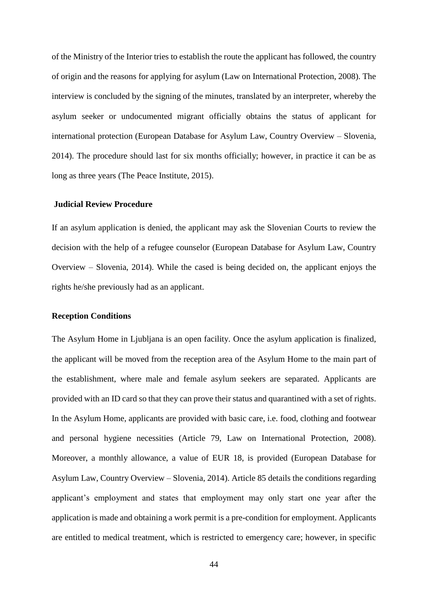of the Ministry of the Interior tries to establish the route the applicant has followed, the country of origin and the reasons for applying for asylum (Law on International Protection, 2008). The interview is concluded by the signing of the minutes, translated by an interpreter, whereby the asylum seeker or undocumented migrant officially obtains the status of applicant for international protection (European Database for Asylum Law, Country Overview – Slovenia, 2014). The procedure should last for six months officially; however, in practice it can be as long as three years (The Peace Institute, 2015).

#### **Judicial Review Procedure**

If an asylum application is denied, the applicant may ask the Slovenian Courts to review the decision with the help of a refugee counselor (European Database for Asylum Law, Country Overview – Slovenia, 2014). While the cased is being decided on, the applicant enjoys the rights he/she previously had as an applicant.

#### **Reception Conditions**

The Asylum Home in Ljubljana is an open facility. Once the asylum application is finalized, the applicant will be moved from the reception area of the Asylum Home to the main part of the establishment, where male and female asylum seekers are separated. Applicants are provided with an ID card so that they can prove their status and quarantined with a set of rights. In the Asylum Home, applicants are provided with basic care, i.e. food, clothing and footwear and personal hygiene necessities (Article 79, Law on International Protection, 2008). Moreover, a monthly allowance, a value of EUR 18, is provided (European Database for Asylum Law, Country Overview – Slovenia, 2014). Article 85 details the conditions regarding applicant's employment and states that employment may only start one year after the application is made and obtaining a work permit is a pre-condition for employment. Applicants are entitled to medical treatment, which is restricted to emergency care; however, in specific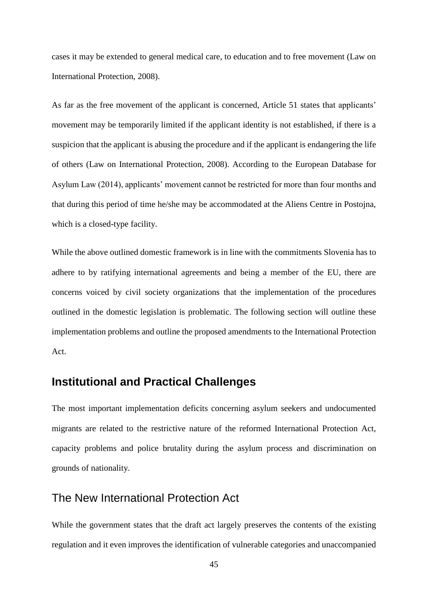cases it may be extended to general medical care, to education and to free movement (Law on International Protection, 2008).

As far as the free movement of the applicant is concerned, Article 51 states that applicants' movement may be temporarily limited if the applicant identity is not established, if there is a suspicion that the applicant is abusing the procedure and if the applicant is endangering the life of others (Law on International Protection, 2008). According to the European Database for Asylum Law (2014), applicants' movement cannot be restricted for more than four months and that during this period of time he/she may be accommodated at the Aliens Centre in Postojna, which is a closed-type facility.

While the above outlined domestic framework is in line with the commitments Slovenia has to adhere to by ratifying international agreements and being a member of the EU, there are concerns voiced by civil society organizations that the implementation of the procedures outlined in the domestic legislation is problematic. The following section will outline these implementation problems and outline the proposed amendments to the International Protection Act.

### <span id="page-50-0"></span>**Institutional and Practical Challenges**

The most important implementation deficits concerning asylum seekers and undocumented migrants are related to the restrictive nature of the reformed International Protection Act, capacity problems and police brutality during the asylum process and discrimination on grounds of nationality.

### <span id="page-50-1"></span>The New International Protection Act

While the government states that the draft act largely preserves the contents of the existing regulation and it even improves the identification of vulnerable categories and unaccompanied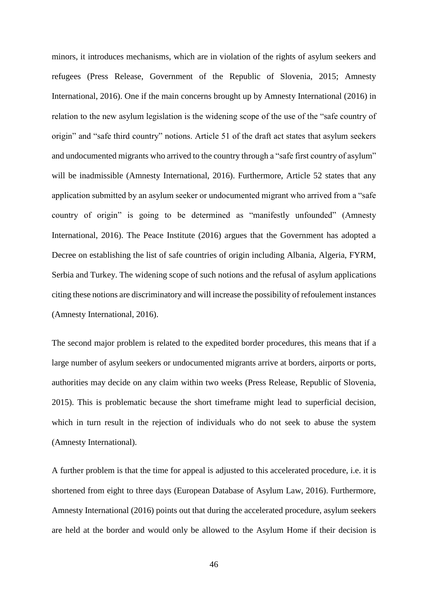minors, it introduces mechanisms, which are in violation of the rights of asylum seekers and refugees (Press Release, Government of the Republic of Slovenia, 2015; Amnesty International, 2016). One if the main concerns brought up by Amnesty International (2016) in relation to the new asylum legislation is the widening scope of the use of the "safe country of origin" and "safe third country" notions. Article 51 of the draft act states that asylum seekers and undocumented migrants who arrived to the country through a "safe first country of asylum" will be inadmissible (Amnesty International, 2016). Furthermore, Article 52 states that any application submitted by an asylum seeker or undocumented migrant who arrived from a "safe country of origin" is going to be determined as "manifestly unfounded" (Amnesty International, 2016). The Peace Institute (2016) argues that the Government has adopted a Decree on establishing the list of safe countries of origin including Albania, Algeria, FYRM, Serbia and Turkey. The widening scope of such notions and the refusal of asylum applications citing these notions are discriminatory and will increase the possibility of refoulement instances (Amnesty International, 2016).

The second major problem is related to the expedited border procedures, this means that if a large number of asylum seekers or undocumented migrants arrive at borders, airports or ports, authorities may decide on any claim within two weeks (Press Release, Republic of Slovenia, 2015). This is problematic because the short timeframe might lead to superficial decision, which in turn result in the rejection of individuals who do not seek to abuse the system (Amnesty International).

A further problem is that the time for appeal is adjusted to this accelerated procedure, i.e. it is shortened from eight to three days (European Database of Asylum Law, 2016). Furthermore, Amnesty International (2016) points out that during the accelerated procedure, asylum seekers are held at the border and would only be allowed to the Asylum Home if their decision is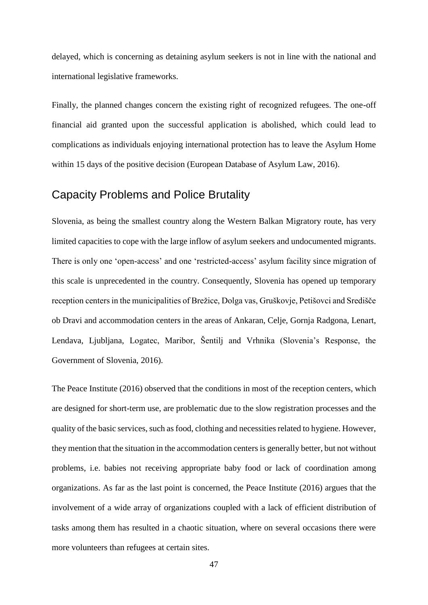delayed, which is concerning as detaining asylum seekers is not in line with the national and international legislative frameworks.

Finally, the planned changes concern the existing right of recognized refugees. The one-off financial aid granted upon the successful application is abolished, which could lead to complications as individuals enjoying international protection has to leave the Asylum Home within 15 days of the positive decision (European Database of Asylum Law, 2016).

### <span id="page-52-0"></span>Capacity Problems and Police Brutality

Slovenia, as being the smallest country along the Western Balkan Migratory route, has very limited capacities to cope with the large inflow of asylum seekers and undocumented migrants. There is only one 'open-access' and one 'restricted-access' asylum facility since migration of this scale is unprecedented in the country. Consequently, Slovenia has opened up temporary reception centers in the municipalities of Brežice, Dolga vas, Gruškovje, Petišovci and Središče ob Dravi and accommodation centers in the areas of Ankaran, Celje, Gornja Radgona, Lenart, Lendava, Ljubljana, Logatec, Maribor, Šentilj and Vrhnika (Slovenia's Response, the Government of Slovenia, 2016).

The Peace Institute (2016) observed that the conditions in most of the reception centers, which are designed for short-term use, are problematic due to the slow registration processes and the quality of the basic services, such as food, clothing and necessities related to hygiene. However, they mention that the situation in the accommodation centers is generally better, but not without problems, i.e. babies not receiving appropriate baby food or lack of coordination among organizations. As far as the last point is concerned, the Peace Institute (2016) argues that the involvement of a wide array of organizations coupled with a lack of efficient distribution of tasks among them has resulted in a chaotic situation, where on several occasions there were more volunteers than refugees at certain sites.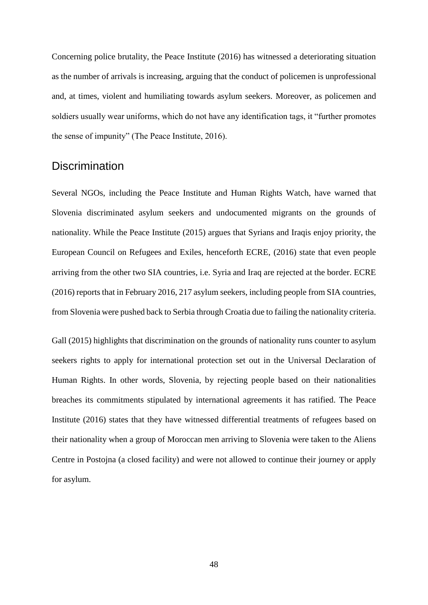Concerning police brutality, the Peace Institute (2016) has witnessed a deteriorating situation as the number of arrivals is increasing, arguing that the conduct of policemen is unprofessional and, at times, violent and humiliating towards asylum seekers. Moreover, as policemen and soldiers usually wear uniforms, which do not have any identification tags, it "further promotes the sense of impunity" (The Peace Institute, 2016).

### <span id="page-53-0"></span>**Discrimination**

Several NGOs, including the Peace Institute and Human Rights Watch, have warned that Slovenia discriminated asylum seekers and undocumented migrants on the grounds of nationality. While the Peace Institute (2015) argues that Syrians and Iraqis enjoy priority, the European Council on Refugees and Exiles, henceforth ECRE, (2016) state that even people arriving from the other two SIA countries, i.e. Syria and Iraq are rejected at the border. ECRE (2016) reports that in February 2016, 217 asylum seekers, including people from SIA countries, from Slovenia were pushed back to Serbia through Croatia due to failing the nationality criteria.

Gall (2015) highlights that discrimination on the grounds of nationality runs counter to asylum seekers rights to apply for international protection set out in the Universal Declaration of Human Rights. In other words, Slovenia, by rejecting people based on their nationalities breaches its commitments stipulated by international agreements it has ratified. The Peace Institute (2016) states that they have witnessed differential treatments of refugees based on their nationality when a group of Moroccan men arriving to Slovenia were taken to the Aliens Centre in Postojna (a closed facility) and were not allowed to continue their journey or apply for asylum.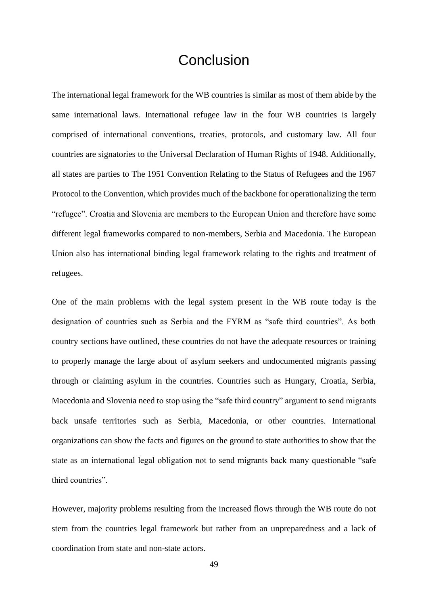## **Conclusion**

<span id="page-54-0"></span>The international legal framework for the WB countries is similar as most of them abide by the same international laws. International refugee law in the four WB countries is largely comprised of international conventions, treaties, protocols, and customary law. All four countries are signatories to the Universal Declaration of Human Rights of 1948. Additionally, all states are parties to The 1951 Convention Relating to the Status of Refugees and the 1967 Protocol to the Convention, which provides much of the backbone for operationalizing the term "refugee". Croatia and Slovenia are members to the European Union and therefore have some different legal frameworks compared to non-members, Serbia and Macedonia. The European Union also has international binding legal framework relating to the rights and treatment of refugees.

One of the main problems with the legal system present in the WB route today is the designation of countries such as Serbia and the FYRM as "safe third countries". As both country sections have outlined, these countries do not have the adequate resources or training to properly manage the large about of asylum seekers and undocumented migrants passing through or claiming asylum in the countries. Countries such as Hungary, Croatia, Serbia, Macedonia and Slovenia need to stop using the "safe third country" argument to send migrants back unsafe territories such as Serbia, Macedonia, or other countries. International organizations can show the facts and figures on the ground to state authorities to show that the state as an international legal obligation not to send migrants back many questionable "safe third countries".

However, majority problems resulting from the increased flows through the WB route do not stem from the countries legal framework but rather from an unpreparedness and a lack of coordination from state and non-state actors.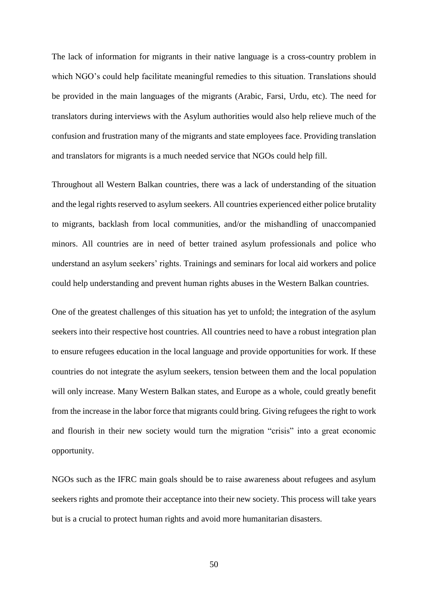The lack of information for migrants in their native language is a cross-country problem in which NGO's could help facilitate meaningful remedies to this situation. Translations should be provided in the main languages of the migrants (Arabic, Farsi, Urdu, etc). The need for translators during interviews with the Asylum authorities would also help relieve much of the confusion and frustration many of the migrants and state employees face. Providing translation and translators for migrants is a much needed service that NGOs could help fill.

Throughout all Western Balkan countries, there was a lack of understanding of the situation and the legal rights reserved to asylum seekers. All countries experienced either police brutality to migrants, backlash from local communities, and/or the mishandling of unaccompanied minors. All countries are in need of better trained asylum professionals and police who understand an asylum seekers' rights. Trainings and seminars for local aid workers and police could help understanding and prevent human rights abuses in the Western Balkan countries.

One of the greatest challenges of this situation has yet to unfold; the integration of the asylum seekers into their respective host countries. All countries need to have a robust integration plan to ensure refugees education in the local language and provide opportunities for work. If these countries do not integrate the asylum seekers, tension between them and the local population will only increase. Many Western Balkan states, and Europe as a whole, could greatly benefit from the increase in the labor force that migrants could bring. Giving refugees the right to work and flourish in their new society would turn the migration "crisis" into a great economic opportunity.

NGOs such as the IFRC main goals should be to raise awareness about refugees and asylum seekers rights and promote their acceptance into their new society. This process will take years but is a crucial to protect human rights and avoid more humanitarian disasters.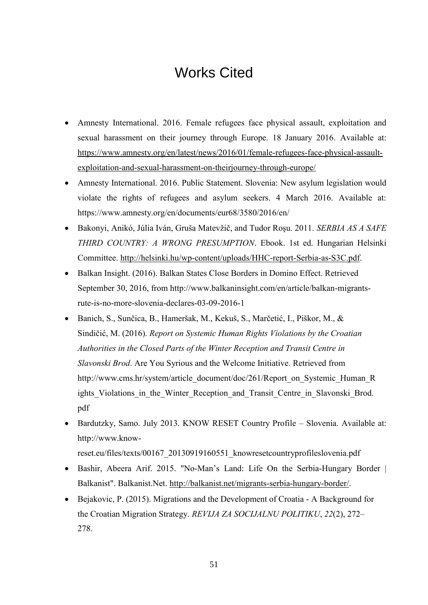# Works Cited

- <span id="page-56-0"></span> Amnesty International. 2016. Female refugees face physical assault, exploitation and sexual harassment on their journey through Europe. 18 January 2016. Available at: [https://www.amnesty.org/en/latest/news/2016/01/female-refugees-face-physical-assault](https://www.amnesty.org/en/latest/news/2016/01/female-refugees-face-physical-assault-exploitation-and-sexual-harassment-on-theirjourney-through-europe/)[exploitation-and-sexual-harassment-on-theirjourney-through-europe/](https://www.amnesty.org/en/latest/news/2016/01/female-refugees-face-physical-assault-exploitation-and-sexual-harassment-on-theirjourney-through-europe/)
- Amnesty International. 2016. Public Statement. Slovenia: New asylum legislation would violate the rights of refugees and asylum seekers. 4 March 2016. Available at: https://www.amnesty.org/en/documents/eur68/3580/2016/en/
- Bakonyi, Anikó, Júlia Iván, Gruša Matevžič, and Tudor Roşu. 2011. *SERBIA AS A SAFE THIRD COUNTRY: A WRONG PRESUMPTION*. Ebook. 1st ed. Hungarian Helsinki Committee. [http://helsinki.hu/wp-content/uploads/HHC-report-Serbia-as-S3C.pdf.](http://helsinki.hu/wp-content/uploads/HHC-report-Serbia-as-S3C.pdf)
- Balkan Insight. (2016). Balkan States Close Borders in Domino Effect. Retrieved September 30, 2016, from http://www.balkaninsight.com/en/article/balkan-migrantsrute-is-no-more-slovenia-declares-03-09-2016-1
- Banich, S., Sunčica, B., Hameršak, M., Kekuš, S., Marčetić, I., Piškor, M., & Sindičić, M. (2016). *Report on Systemic Human Rights Violations by the Croatian Authorities in the Closed Parts of the Winter Reception and Transit Centre in Slavonski Brod*. Are You Syrious and the Welcome Initiative. Retrieved from http://www.cms.hr/system/article\_document/doc/261/Report\_on\_Systemic\_Human\_R ights Violations in the Winter Reception and Transit Centre in Slavonski Brod. pdf
- Bardutzky, Samo. July 2013. KNOW RESET Country Profile Slovenia. Available at: http://www.know
	- reset.eu/files/texts/00167\_20130919160551\_knowresetcountryprofileslovenia.pdf
- Bashir, Abeera Arif. 2015. "No-Man's Land: Life On the Serbia-Hungary Border | Balkanist". Balkanist.Net. [http://balkanist.net/migrants-serbia-hungary-border/.](http://balkanist.net/migrants-serbia-hungary-border/)
- Bejakovic, P. (2015). Migrations and the Development of Croatia A Background for the Croatian Migration Strategy. *REVIJA ZA SOCIJALNU POLITIKU*, *22*(2), 272– 278.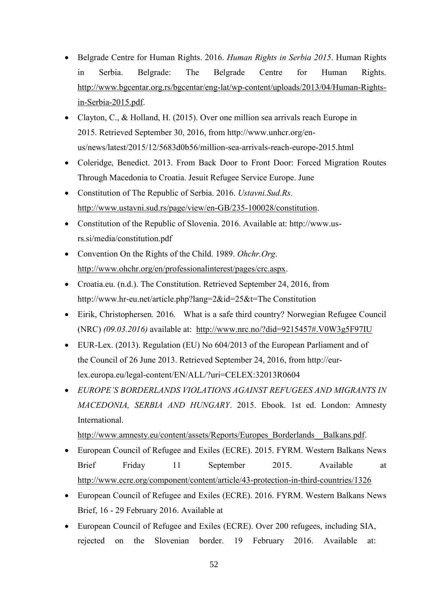- Belgrade Centre for Human Rights. 2016. *Human Rights in Serbia 2015*. Human Rights in Serbia. Belgrade: The Belgrade Centre for Human Rights. [http://www.bgcentar.org.rs/bgcentar/eng-lat/wp-content/uploads/2013/04/Human-Rights](http://www.bgcentar.org.rs/bgcentar/eng-lat/wp-content/uploads/2013/04/Human-Rights-in-Serbia-2015.pdf)[in-Serbia-2015.pdf.](http://www.bgcentar.org.rs/bgcentar/eng-lat/wp-content/uploads/2013/04/Human-Rights-in-Serbia-2015.pdf)
- Clayton, C., & Holland, H. (2015). Over one million sea arrivals reach Europe in 2015. Retrieved September 30, 2016, from http://www.unhcr.org/enus/news/latest/2015/12/5683d0b56/million-sea-arrivals-reach-europe-2015.html
- Coleridge, Benedict. 2013. From Back Door to Front Door: Forced Migration Routes Through Macedonia to Croatia. Jesuit Refugee Service Europe. June
- Constitution of The Republic of Serbia. 2016. *Ustavni.Sud.Rs*. [http://www.ustavni.sud.rs/page/view/en-GB/235-100028/constitution.](http://www.ustavni.sud.rs/page/view/en-GB/235-100028/constitution)
- Constitution of the Republic of Slovenia. 2016. Available at: http://www.usrs.si/media/constitution.pdf
- Convention On the Rights of the Child. 1989. *Ohchr.Org*. [http://www.ohchr.org/en/professionalinterest/pages/crc.aspx.](http://www.ohchr.org/en/professionalinterest/pages/crc.aspx)
- Croatia.eu. (n.d.). The Constitution. Retrieved September 24, 2016, from http://www.hr-eu.net/article.php?lang=2&id=25&t=The Constitution
- Eirik, Christophersen*.* 2016*.* What is a safe third country? Norwegian Refugee Council (NRC) *(09.03.2016)* available at: <http://www.nrc.no/?did=9215457#.V0W3g5F97IU>
- EUR-Lex. (2013). Regulation (EU) No 604/2013 of the European Parliament and of the Council of 26 June 2013. Retrieved September 24, 2016, from http://eurlex.europa.eu/legal-content/EN/ALL/?uri=CELEX:32013R0604
- *EUROPE'S BORDERLANDS VIOLATIONS AGAINST REFUGEES AND MIGRANTS IN MACEDONIA, SERBIA AND HUNGARY*. 2015. Ebook. 1st ed. London: Amnesty International.

[http://www.amnesty.eu/content/assets/Reports/Europes\\_Borderlands\\_\\_Balkans.pdf.](http://www.amnesty.eu/content/assets/Reports/Europes_Borderlands__Balkans.pdf)

- European Council of Refugee and Exiles (ECRE). 2015. FYRM. Western Balkans News Brief Friday 11 September 2015. Available at <http://www.ecre.org/component/content/article/43-protection-in-third-countries/1326>
- European Council of Refugee and Exiles (ECRE). 2016. FYRM. Western Balkans News Brief, 16 - 29 February 2016. Available at
- European Council of Refugee and Exiles (ECRE). Over 200 refugees, including SIA, rejected on the Slovenian border. 19 February 2016. Available at: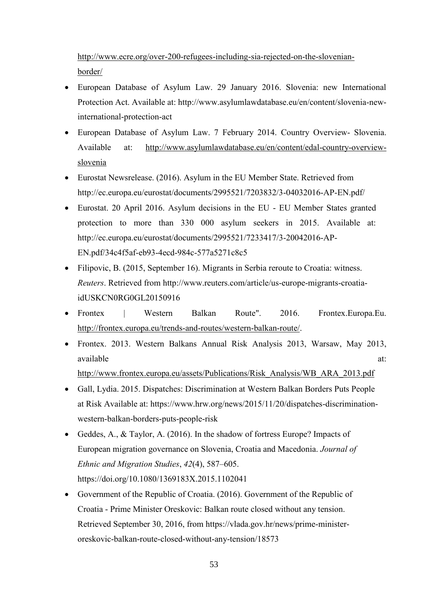[http://www.ecre.org/over-200-refugees-including-sia-rejected-on-the-slovenian](http://www.ecre.org/over-200-refugees-including-sia-rejected-on-the-slovenian-border/)[border/](http://www.ecre.org/over-200-refugees-including-sia-rejected-on-the-slovenian-border/)

- European Database of Asylum Law. 29 January 2016. Slovenia: new International Protection Act. Available at: http://www.asylumlawdatabase.eu/en/content/slovenia-newinternational-protection-act
- European Database of Asylum Law. 7 February 2014. Country Overview- Slovenia. Available at: [http://www.asylumlawdatabase.eu/en/content/edal-country-overview](http://www.asylumlawdatabase.eu/en/content/edal-country-overview-slovenia)[slovenia](http://www.asylumlawdatabase.eu/en/content/edal-country-overview-slovenia)
- Eurostat Newsrelease. (2016). Asylum in the EU Member State. Retrieved from http://ec.europa.eu/eurostat/documents/2995521/7203832/3-04032016-AP-EN.pdf/
- Eurostat. 20 April 2016. Asylum decisions in the EU EU Member States granted protection to more than 330 000 asylum seekers in 2015. Available at: http://ec.europa.eu/eurostat/documents/2995521/7233417/3-20042016-AP-EN.pdf/34c4f5af-eb93-4ecd-984c-577a5271c8c5
- Filipovic, B. (2015, September 16). Migrants in Serbia reroute to Croatia: witness. *Reuters*. Retrieved from http://www.reuters.com/article/us-europe-migrants-croatiaidUSKCN0RG0GL20150916
- Frontex | Western Balkan Route". 2016. Frontex.Europa.Eu. [http://frontex.europa.eu/trends-and-routes/western-balkan-route/.](http://frontex.europa.eu/trends-and-routes/western-balkan-route/)
- Frontex. 2013. Western Balkans Annual Risk Analysis 2013, Warsaw, May 2013, available at: and a state at  $\alpha$  at  $\alpha$

[http://www.frontex.europa.eu/assets/Publications/Risk\\_Analysis/WB\\_ARA\\_2013.pdf](http://www.frontex.europa.eu/assets/Publications/Risk_Analysis/WB_ARA_2013.pdf)

- Gall, Lydia. 2015. Dispatches: Discrimination at Western Balkan Borders Puts People at Risk Available at: https://www.hrw.org/news/2015/11/20/dispatches-discriminationwestern-balkan-borders-puts-people-risk
- Geddes, A., & Taylor, A. (2016). In the shadow of fortress Europe? Impacts of European migration governance on Slovenia, Croatia and Macedonia. *Journal of Ethnic and Migration Studies*, *42*(4), 587–605. https://doi.org/10.1080/1369183X.2015.1102041
- Government of the Republic of Croatia. (2016). Government of the Republic of Croatia - Prime Minister Oreskovic: Balkan route closed without any tension. Retrieved September 30, 2016, from https://vlada.gov.hr/news/prime-ministeroreskovic-balkan-route-closed-without-any-tension/18573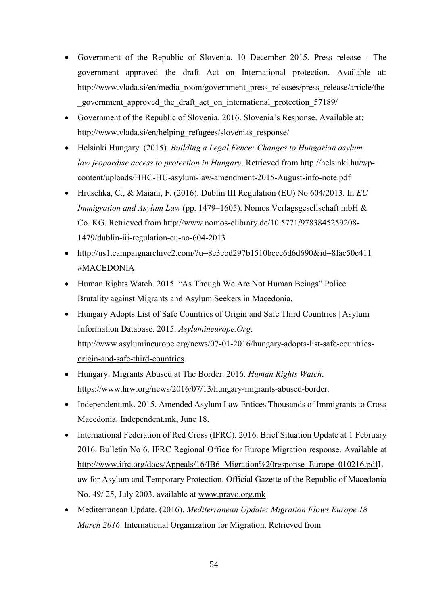- Government of the Republic of Slovenia. 10 December 2015. Press release The government approved the draft Act on International protection. Available at: http://www.vlada.si/en/media\_room/government\_press\_releases/press\_release/article/the \_government\_approved\_the\_draft\_act\_on\_international\_protection\_57189/
- Government of the Republic of Slovenia. 2016. Slovenia's Response. Available at: http://www.vlada.si/en/helping\_refugees/slovenias\_response/
- Helsinki Hungary. (2015). *Building a Legal Fence: Changes to Hungarian asylum law jeopardise access to protection in Hungary*. Retrieved from http://helsinki.hu/wpcontent/uploads/HHC-HU-asylum-law-amendment-2015-August-info-note.pdf
- Hruschka, C., & Maiani, F. (2016). Dublin III Regulation (EU) No 604/2013. In *EU Immigration and Asylum Law* (pp. 1479–1605). Nomos Verlagsgesellschaft mbH & Co. KG. Retrieved from http://www.nomos-elibrary.de/10.5771/9783845259208- 1479/dublin-iii-regulation-eu-no-604-2013
- [http://us1.campaignarchive2.com/?u=8e3ebd297b1510becc6d6d690&id=8fac50c411](http://us1.campaignarchive2.com/?u=8e3ebd297b1510becc6d6d690&id=8fac50c411#MACEDONIA) [#MACEDONIA](http://us1.campaignarchive2.com/?u=8e3ebd297b1510becc6d6d690&id=8fac50c411#MACEDONIA)
- Human Rights Watch. 2015. "As Though We Are Not Human Beings" Police Brutality against Migrants and Asylum Seekers in Macedonia.
- Hungary Adopts List of Safe Countries of Origin and Safe Third Countries | Asylum Information Database. 2015. *Asylumineurope.Org*. [http://www.asylumineurope.org/news/07-01-2016/hungary-adopts-list-safe-countries](http://www.asylumineurope.org/news/07-01-2016/hungary-adopts-list-safe-countries-origin-and-safe-third-countries)[origin-and-safe-third-countries.](http://www.asylumineurope.org/news/07-01-2016/hungary-adopts-list-safe-countries-origin-and-safe-third-countries)
- Hungary: Migrants Abused at The Border. 2016. *Human Rights Watch*. [https://www.hrw.org/news/2016/07/13/hungary-migrants-abused-border.](https://www.hrw.org/news/2016/07/13/hungary-migrants-abused-border)
- Independent.mk. 2015. Amended Asylum Law Entices Thousands of Immigrants to Cross Macedonia. Independent.mk, June 18.
- International Federation of Red Cross (IFRC). 2016. Brief Situation Update at 1 February 2016. Bulletin No 6. IFRC Regional Office for Europe Migration response. Available at [http://www.ifrc.org/docs/Appeals/16/IB6\\_Migration%20response\\_Europe\\_010216.pdfL](http://www.ifrc.org/docs/Appeals/16/IB6_Migration%20response_Europe_010216.pdf) aw for Asylum and Temporary Protection. Official Gazette of the Republic of Macedonia No. 49/ 25, July 2003. available at [www.pravo.org.mk](http://www.pravo.org.mk/)
- Mediterranean Update. (2016). *Mediterranean Update: Migration Flows Europe 18 March 2016*. International Organization for Migration. Retrieved from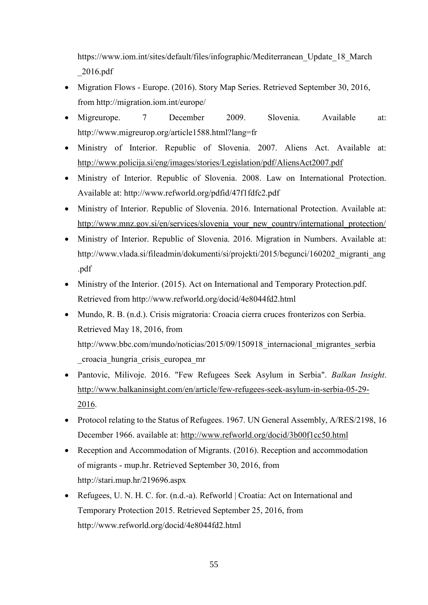https://www.iom.int/sites/default/files/infographic/Mediterranean\_Update\_18\_March \_2016.pdf

- Migration Flows Europe. (2016). Story Map Series. Retrieved September 30, 2016, from http://migration.iom.int/europe/
- Migreurope. 7 December 2009. Slovenia. Available at: http://www.migreurop.org/article1588.html?lang=fr
- Ministry of Interior. Republic of Slovenia. 2007. Aliens Act. Available at: <http://www.policija.si/eng/images/stories/Legislation/pdf/AliensAct2007.pdf>
- Ministry of Interior. Republic of Slovenia. 2008. Law on International Protection. Available at: http://www.refworld.org/pdfid/47f1fdfc2.pdf
- Ministry of Interior. Republic of Slovenia. 2016. International Protection. Available at: [http://www.mnz.gov.si/en/services/slovenia\\_your\\_new\\_country/international\\_protection/](http://www.mnz.gov.si/en/services/slovenia_your_new_country/international_protection/)
- Ministry of Interior. Republic of Slovenia. 2016. Migration in Numbers. Available at: http://www.vlada.si/fileadmin/dokumenti/si/projekti/2015/begunci/160202\_migranti\_ang .pdf
- Ministry of the Interior. (2015). Act on International and Temporary Protection.pdf. Retrieved from http://www.refworld.org/docid/4e8044fd2.html
- Mundo, R. B. (n.d.). Crisis migratoria: Croacia cierra cruces fronterizos con Serbia. Retrieved May 18, 2016, from http://www.bbc.com/mundo/noticias/2015/09/150918 internacional migrantes serbia \_croacia\_hungria\_crisis\_europea\_mr
- Pantovic, Milivoje. 2016. "Few Refugees Seek Asylum in Serbia". *Balkan Insight*. [http://www.balkaninsight.com/en/article/few-refugees-seek-asylum-in-serbia-05-29-](http://www.balkaninsight.com/en/article/few-refugees-seek-asylum-in-serbia-05-29-2016) [2016.](http://www.balkaninsight.com/en/article/few-refugees-seek-asylum-in-serbia-05-29-2016)
- Protocol relating to the Status of Refugees. 1967. UN General Assembly, A/RES/2198, 16 December 1966. available at:<http://www.refworld.org/docid/3b00f1cc50.html>
- Reception and Accommodation of Migrants. (2016). Reception and accommodation of migrants - mup.hr. Retrieved September 30, 2016, from http://stari.mup.hr/219696.aspx
- Refugees, U. N. H. C. for. (n.d.-a). Refworld | Croatia: Act on International and Temporary Protection 2015. Retrieved September 25, 2016, from http://www.refworld.org/docid/4e8044fd2.html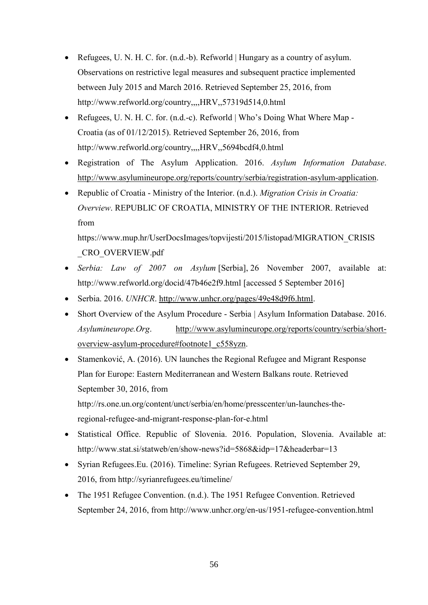- Refugees, U. N. H. C. for. (n.d.-b). Refworld | Hungary as a country of asylum. Observations on restrictive legal measures and subsequent practice implemented between July 2015 and March 2016. Retrieved September 25, 2016, from http://www.refworld.org/country,,,,HRV,,57319d514,0.html
- Refugees, U. N. H. C. for. (n.d.-c). Refworld | Who's Doing What Where Map -Croatia (as of 01/12/2015). Retrieved September 26, 2016, from http://www.refworld.org/country,,,,HRV,,5694bcdf4,0.html
- Registration of The Asylum Application. 2016. *Asylum Information Database*. [http://www.asylumineurope.org/reports/country/serbia/registration-asylum-application.](http://www.asylumineurope.org/reports/country/serbia/registration-asylum-application)
- Republic of Croatia Ministry of the Interior. (n.d.). *Migration Crisis in Croatia: Overview*. REPUBLIC OF CROATIA, MINISTRY OF THE INTERIOR. Retrieved from

https://www.mup.hr/UserDocsImages/topvijesti/2015/listopad/MIGRATION\_CRISIS \_CRO\_OVERVIEW.pdf

- *Serbia: Law of 2007 on Asylum* [Serbia], 26 November 2007, available at: http://www.refworld.org/docid/47b46e2f9.html [accessed 5 September 2016]
- Serbia. 2016. *UNHCR*. [http://www.unhcr.org/pages/49e48d9f6.html.](http://www.unhcr.org/pages/49e48d9f6.html)
- Short Overview of the Asylum Procedure Serbia | Asylum Information Database. 2016. *Asylumineurope.Org*. [http://www.asylumineurope.org/reports/country/serbia/short](http://www.asylumineurope.org/reports/country/serbia/short-overview-asylum-procedure#footnote1_c558yzn)[overview-asylum-procedure#footnote1\\_c558yzn.](http://www.asylumineurope.org/reports/country/serbia/short-overview-asylum-procedure#footnote1_c558yzn)
- Stamenković, A. (2016). UN launches the Regional Refugee and Migrant Response Plan for Europe: Eastern Mediterranean and Western Balkans route. Retrieved September 30, 2016, from http://rs.one.un.org/content/unct/serbia/en/home/presscenter/un-launches-theregional-refugee-and-migrant-response-plan-for-e.html
- Statistical Office. Republic of Slovenia. 2016. Population, Slovenia. Available at: http://www.stat.si/statweb/en/show-news?id=5868&idp=17&headerbar=13
- Syrian Refugees.Eu. (2016). Timeline: Syrian Refugees. Retrieved September 29, 2016, from http://syrianrefugees.eu/timeline/
- The 1951 Refugee Convention. (n.d.). The 1951 Refugee Convention. Retrieved September 24, 2016, from http://www.unhcr.org/en-us/1951-refugee-convention.html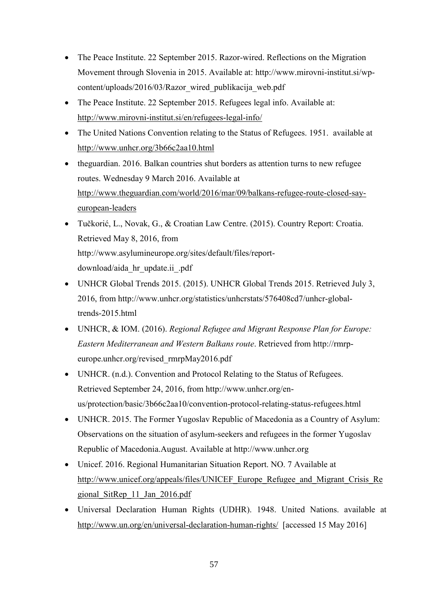- The Peace Institute. 22 September 2015. Razor-wired. Reflections on the Migration Movement through Slovenia in 2015. Available at: http://www.mirovni-institut.si/wpcontent/uploads/2016/03/Razor\_wired\_publikacija\_web.pdf
- The Peace Institute. 22 September 2015. Refugees legal info. Available at: <http://www.mirovni-institut.si/en/refugees-legal-info/>
- The United Nations Convention relating to the Status of Refugees. 1951. available at <http://www.unhcr.org/3b66c2aa10.html>
- theguardian. 2016. Balkan countries shut borders as attention turns to new refugee routes. Wednesday 9 March 2016. Available at [http://www.theguardian.com/world/2016/mar/09/balkans-refugee-route-closed-say](http://www.theguardian.com/world/2016/mar/09/balkans-refugee-route-closed-say-european-leaders)[european-leaders](http://www.theguardian.com/world/2016/mar/09/balkans-refugee-route-closed-say-european-leaders)
- Tučkorić, L., Novak, G., & Croatian Law Centre. (2015). Country Report: Croatia. Retrieved May 8, 2016, from http://www.asylumineurope.org/sites/default/files/reportdownload/aida\_hr\_update.ii\_.pdf
- UNHCR Global Trends 2015. (2015). UNHCR Global Trends 2015. Retrieved July 3, 2016, from http://www.unhcr.org/statistics/unhcrstats/576408cd7/unhcr-globaltrends-2015.html
- UNHCR, & IOM. (2016). *Regional Refugee and Migrant Response Plan for Europe: Eastern Mediterranean and Western Balkans route*. Retrieved from http://rmrpeurope.unhcr.org/revised\_rmrpMay2016.pdf
- UNHCR. (n.d.). Convention and Protocol Relating to the Status of Refugees. Retrieved September 24, 2016, from http://www.unhcr.org/enus/protection/basic/3b66c2aa10/convention-protocol-relating-status-refugees.html
- UNHCR. 2015. The Former Yugoslav Republic of Macedonia as a Country of Asylum: Observations on the situation of asylum-seekers and refugees in the former Yugoslav Republic of Macedonia.August. Available at http://www.unhcr.org
- Unicef. 2016. Regional Humanitarian Situation Report. NO. 7 Available at [http://www.unicef.org/appeals/files/UNICEF\\_Europe\\_Refugee\\_and\\_Migrant\\_Crisis\\_Re](http://www.unicef.org/appeals/files/UNICEF_Europe_Refugee_and_Migrant_Crisis_Regional_SitRep_11_Jan_2016.pdf) [gional\\_SitRep\\_11\\_Jan\\_2016.pdf](http://www.unicef.org/appeals/files/UNICEF_Europe_Refugee_and_Migrant_Crisis_Regional_SitRep_11_Jan_2016.pdf)
- Universal Declaration Human Rights (UDHR). 1948. United Nations. available at <http://www.un.org/en/universal-declaration-human-rights/>[accessed 15 May 2016]